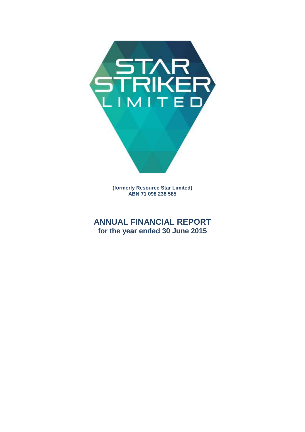

**(formerly Resource Star Limited) ABN 71 098 238 585**

**ANNUAL FINANCIAL REPORT for the year ended 30 June 2015**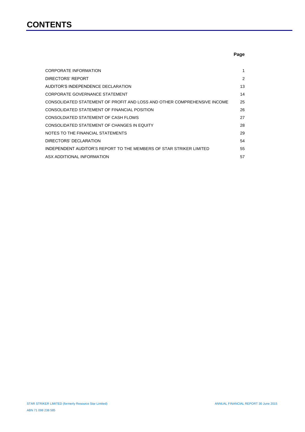# **CONTENTS**

# **Page**

| <b>CORPORATE INFORMATION</b>                                             | 1              |
|--------------------------------------------------------------------------|----------------|
| DIRECTORS' REPORT                                                        | $\overline{2}$ |
| AUDITOR'S INDEPENDENCE DECLARATION                                       | 13             |
| CORPORATE GOVERNANCE STATEMENT                                           | 14             |
| CONSOLIDATED STATEMENT OF PROFIT AND LOSS AND OTHER COMPREHENSIVE INCOME | 25             |
| CONSOLIDATED STATEMENT OF FINANCIAL POSITION                             | 26             |
| CONSOLDIATED STATEMENT OF CASH FLOWS                                     | 27             |
| CONSOLIDATED STATEMENT OF CHANGES IN EQUITY                              | 28             |
| NOTES TO THE FINANCIAL STATEMENTS                                        | 29             |
| DIRECTORS' DECLARATION                                                   | 54             |
| INDEPENDENT AUDITOR'S REPORT TO THE MEMBERS OF STAR STRIKER LIMITED      | 55             |
| ASX ADDITIONAL INFORMATION                                               | 57             |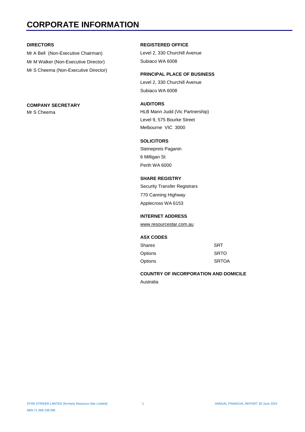# **CORPORATE INFORMATION**

# **DIRECTORS**

Mr A Bell (Non-Executive Chairman) Mr M Walker (Non-Executive Director) Mr S Cheema (Non-Executive Director)

# **COMPANY SECRETARY**

Mr S Cheema

# **REGISTERED OFFICE**

Level 2, 330 Churchill Avenue Subiaco WA 6008

**PRINCIPAL PLACE OF BUSINESS** Level 2, 330 Churchill Avenue Subiaco WA 6008

# **AUDITORS**

HLB Mann Judd (Vic Partnership) Level 9, 575 Bourke Street Melbourne VIC 3000

# **SOLICITORS**

Steinepreis Paganin 6 Milligan St Perth WA 6000

# **SHARE REGISTRY**

Security Transfer Registrars 770 Canning Highway Applecross WA 6153

# **INTERNET ADDRESS**

www.resourcestar.com.au

# **ASX CODES**

| <b>Shares</b>  | <b>SRT</b>   |
|----------------|--------------|
| <b>Options</b> | <b>SRTO</b>  |
| <b>Options</b> | <b>SRTOA</b> |

# **COUNTRY OF INCORPORATION AND DOMICILE**

Australia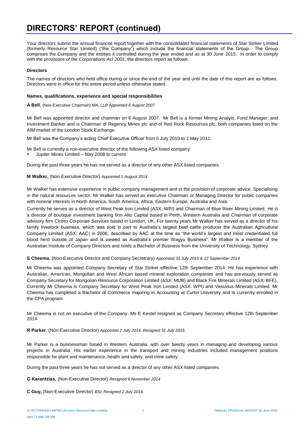# **DIRECTORS' REPORT (continued)**

Your directors submit the annual financial report together with the consolidated financial statements of Star Striker Limited (formerly Resource Star Limited) ("the Company") which include the financial statements of the Group. The Group comprises the Company and the entities it controlled during the year ended and as at 30 June 2015. In order to comply with the provisions of the *Corporations Act 2001*, the directors report as follows:

### **Directors**

The names of directors who held office during or since the end of the year and until the date of this report are as follows. Directors were in office for this entire period unless otherwise stated.

### **Names, qualifications, experience and special responsibilities**

**A Bell**, (Non-Executive Chairman) *MA, LLB Appointed 6 August 2007*

Mr Bell was appointed director and chairman on 6 August 2007. Mr Bell is a former Mining Analyst, Fund Manager, and Investment Banker and is Chairman of Regency Mines plc and of Red Rock Resources plc, both companies listed on the AIM market of the London Stock Exchange.

Mr Bell was the Company's acting Chief Executive Officer from 5 July 2010 to 1 May 2011.

Mr Bell is currently a non-executive director of the following ASX listed company:

Jupiter Mines Limited – May 2008 to current

During the past three years he has not served as a director of any other ASX listed companies.

#### **M Walker,** (Non-Executive Director) *Appointed 1 August 2014*

Mr Walker has extensive experience in public company management and in the provision of corporate advice. Specialising in the natural resources sector, Mr Walker has served as executive Chairman or Managing Director for public companies with mineral interests in North America, South America, Africa, Eastern Europe, Australia and Asia.

Currently he serves as a director of West Peak Iron Limited (ASX: WPI) and Chairman of Blue River Mining Limited. He is a director of boutique investment banking firm Alto Capital based in Perth, Western Australia and Chairman of corporate advisory firm Cicero Corporate Services based in London, UK. For twenty years Mr Walker has served as a director of his family livestock business, which was sold in part to Australia's largest beef cattle producer the Australian Agricultural Company Limited (ASX: AAC) in 2006, described by AAC at the time as "the world's largest and most credentialed full blood herd outside of Japan and is viewed as Australia's premier Wagyu Business". Mr Walker is a member of the Australian Institute of Company Directors and holds a Bachelor of Business from the University of Technology, Sydney.

**S Cheema**, (Non-Executive Director and Company Secretrary) *Appointed 31 July 2015 & 12 September 2014*

Mr Cheema was appointed Company Secretary of Star Striker effective 12th September 2014. He has experience with Australian, American, Mongolian and West African based mineral exploration companies and has previously served as Company Secretary for Mongolian Resource Corporation Limited (ASX: MUB) and Black Fire Minerals Limited (ASX: BFE). Currently Mr Cheema is Company Secretary for West Peak Iron Limited (ASX: WPI) and Vesuvius Minerals Limited. Mr Cheema has completed a Bachelor of Commerce majoring in Accounting at Curtin University and is currently enrolled in the CPA program.

Mr Cheema is not an executive of the Company. Ms E Kestel resigned as Company Secretary effective 12th September 2014

**R Parker**, (Non-Executive Director) *Appointed 2 July 2014, Resigned 31 July 2015*

Mr Parker is a businessman based in Western Australia, with over twenty years in managing and developing various projects in Australia. His earlier experience in the transport and mining industries included management positions responsible for plant and maintenance, health and safety, and mine safety.

During the past three years he has not served as a director of any other ASX listed companies.

**G Karantzias,** (Non-Executive Director) *Resigned 6 November 2014*

**C Guy,** (Non-Executive Director) *BSc Resigned 2 July 2014*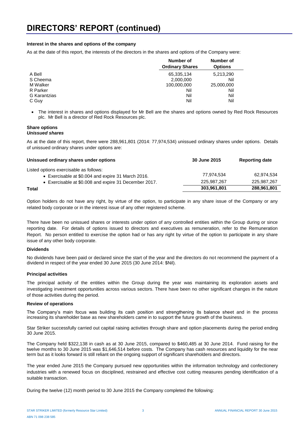## **Interest in the shares and options of the company**

As at the date of this report, the interests of the directors in the shares and options of the Company were:

|              | Number of              | Number of      |
|--------------|------------------------|----------------|
|              | <b>Ordinary Shares</b> | <b>Options</b> |
| A Bell       | 65,335,134             | 5,213,290      |
| S Cheema     | 2,000,000              | Nil            |
| M Walker     | 100,000,000            | 25,000,000     |
| R Parker     | Nil                    | Nil            |
| G Karantzias | Nil                    | Nil            |
| C Guy        | Nil                    | Nil            |

 The interest in shares and options displayed for Mr Bell are the shares and options owned by Red Rock Resources plc. Mr Bell is a director of Red Rock Resources plc.

#### **Share options** *Unissued shares*

As at the date of this report, there were 288,961,801 (2014: 77,974,534) unissued ordinary shares under options. Details of unissued ordinary shares under options are:

| Unissued ordinary shares under options                                                                      | 30 June 2015 | <b>Reporting date</b> |
|-------------------------------------------------------------------------------------------------------------|--------------|-----------------------|
| Listed options exercisable as follows:                                                                      | 77.974.534   | 62.974.534            |
| • Exercisable at \$0.004 and expire 31 March 2016.<br>• Exercisable at \$0.008 and expire 31 December 2017. | 225.987.267  | 225.987.267           |
| <b>Total</b>                                                                                                | 303,961,801  | 288,961,801           |

Option holders do not have any right, by virtue of the option, to participate in any share issue of the Company or any related body corporate or in the interest issue of any other registered scheme.

There have been no unissued shares or interests under option of any controlled entities within the Group during or since reporting date. For details of options issued to directors and executives as remuneration, refer to the Remuneration Report. No person entitled to exercise the option had or has any right by virtue of the option to participate in any share issue of any other body corporate.

#### **Dividends**

No dividends have been paid or declared since the start of the year and the directors do not recommend the payment of a dividend in respect of the year ended 30 June 2015 (30 June 2014: \$Nil).

#### **Principal activities**

The principal activity of the entities within the Group during the year was maintaining its exploration assets and investigating investment opportunities across various sectors. There have been no other significant changes in the nature of those activities during the period.

#### **Review of operations**

The Company's main focus was building its cash position and strengthening its balance sheet and in the process increasing its shareholder base as new shareholders came in to support the future growth of the business.

Star Striker successfully carried out capital raising activities through share and option placements during the period ending 30 June 2015.

The Company held \$322,138 in cash as at 30 June 2015, compared to \$460,485 at 30 June 2014. Fund raising for the twelve months to 30 June 2015 was \$1,646,514 before costs. The Company has cash resources and liquidity for the near term but as it looks forward is still reliant on the ongoing support of significant shareholders and directors.

The year ended June 2015 the Company pursued new opportunities within the information technology and confectionery industries with a renewed focus on disciplined, restrained and effective cost cutting measures pending identification of a suitable transaction.

During the twelve (12) month period to 30 June 2015 the Company completed the following: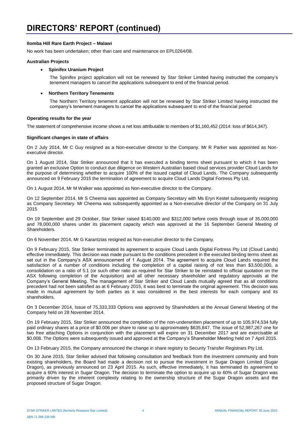### **Ilomba Hill Rare Earth Project – Malawi**

No work has been undertaken; other than care and maintenance on EPL0264/08.

#### **Australian Projects**

#### **Spinifex Uranium Project**

The Spinifex project application will not be renewed by Star Striker Limited having instructed the company's tenement managers to cancel the applications subsequent to end of the financial period.

### **Northern Territory Tenements**

The Northern Territory tenement application will not be renewed by Star Striker Limited having instructed the company's tenement managers to cancel the applications subsequent to end of the financial period.

#### **Operating results for the year**

The statement of comprehensive income shows a net loss attributable to members of \$1,160,452 (2014: loss of \$614,347).

#### **Significant changes in state of affairs**

On 2 July 2014, Mr C Guy resigned as a Non-executive director to the Company. Mr R Parker was appointed as Nonexecutive director.

On 1 August 2014, Star Striker announced that it has executed a binding terms sheet pursuant to which it has been granted an exclusive Option to conduct due diligence on Western Australian based cloud services provider Cloud Lands for the purpose of determining whether to acquire 100% of the issued capital of Cloud Lands. The Company subsequently announced on 9 February 2015 the termination of agreement to acquire Cloud Lands Digital Fortress Pty Ltd.

On 1 August 2014, Mr M Walker was appointed as Non-executive director to the Company.

On 12 September 2014, Mr S Cheema was appointed as Company Secretary with Ms Eryn Kestel subsequently resigning as Company Secretary. Mr Cheema was subsequently appointed as a Non-executive director of the Company on 31 July 2015

On 19 September and 29 October, Star Striker raised \$140,000 and \$312,000 before costs through issue of 35,000,000 and 78,000,000 shares under its placement capacity which was approved at the 16 September General Meeting of Shareholders.

On 6 November 2014, Mr G Karantzias resigned as Non-executive director to the Company.

On 9 February 2015, Star Striker terminated its agreement to acquire Cloud Lands Digital Fortress Pty Ltd (Cloud Lands) effective immediately. This decision was made pursuant to the conditions precedent in the executed binding terms sheet as set out in the Company's ASX announcement of 1 August 2014. The agreement to acquire Cloud Lands required the satisfaction of a number of conditions including the completion of a capital raising of not less than \$3,500,000, a consolidation on a ratio of 5:1 (or such other ratio as required for Star Striker to be reinstated to official quotation on the ASX following completion of the Acquisition) and all other necessary shareholder and regulatory approvals at the Company's General Meeting. The management of Star Striker and Cloud Lands mutually agreed that as all conditions precedent had not been satisfied as at 6 February 2015, it was best to terminate the original agreement. This decision was made in mutual agreement by both parties as it was considered in the best interests for each company and its shareholders.

On 3 December 2014, Issue of 75,333,333 Options was approved by Shareholders at the Annual General Meeting of the Company held on 28 November 2014.

On 19 February 2015, Star Striker announced the completion of the non-underwritten placement of up to 105,974,534 fully paid ordinary shares at a price of \$0.006 per share to raise up to approximately \$635,847. The issue of 52,987,267 one for two free attaching Options in conjunction with the placement will expire on 31 December 2017 and are exercisable at \$0.008. The Options were subsequently issued and approved at the Company's Shareholder Meeting held on 7 April 2015.

On 13 February 2015, the Company announced the change in share registry to Security Transfer Registrars Pty Ltd.

On 30 June 2015, Star Striker advised that following consultation and feedback from the investment community and from existing shareholders, the Board had made a decision not to pursue the investment in Sugar Dragon Limited (Sugar Dragon), as previously announced on 23 April 2015. As such, effective immediately, it has terminated its agreement to acquire a 60% interest in Sugar Dragon. The decision to terminate the option to acquire up to 60% of Sugar Dragon was primarily driven by the inherent complexity relating to the ownership structure of the Sugar Dragon assets and the proposed structure of Sugar Dragon.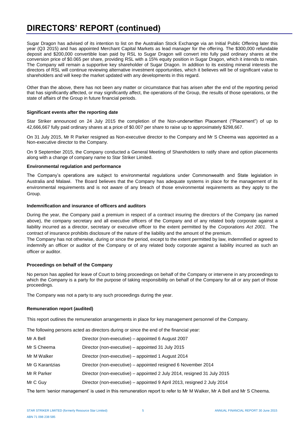# **DIRECTORS' REPORT (continued)**

Sugar Dragon has advised of its intention to list on the Australian Stock Exchange via an Initial Public Offering later this year (Q3 2015) and has appointed Merchant Capital Markets as lead manager for the offering. The \$300,000 refundable deposit and \$200,000 convertible loan paid by RSL to Sugar Dragon will convert into fully paid ordinary shares at the conversion price of \$0.065 per share, providing RSL with a 15% equity position in Sugar Dragon, which it intends to retain. The Company will remain a supportive key shareholder of Sugar Dragon. In addition to its existing mineral interests the directors of RSL will continue reviewing alternative investment opportunities, which it believes will be of significant value to shareholders and will keep the market updated with any developments in this regard.

Other than the above, there has not been any matter or circumstance that has arisen after the end of the reporting period that has significantly affected, or may significantly affect, the operations of the Group, the results of those operations, or the state of affairs of the Group in future financial periods.

#### **Significant events after the reporting date**

Star Striker announced on 24 July 2015 the completion of the Non-underwritten Placement ("Placement") of up to 42,666,667 fully paid ordinary shares at a price of \$0.007 per share to raise up to approximately \$298,667.

On 31 July 2015, Mr R Parker resigned as Non-executive director to the Company and Mr S Cheema was appointed as a Non-executive director to the Company.

On 9 September 2015, the Company conducted a General Meeting of Shareholders to ratify share and option placements along with a change of company name to Star Striker Limited.

#### **Environmental regulation and performance**

The Company's operations are subject to environmental regulations under Commonwealth and State legislation in Australia and Malawi. The Board believes that the Company has adequate systems in place for the management of its environmental requirements and is not aware of any breach of those environmental requirements as they apply to the Group.

#### **Indemnification and insurance of officers and auditors**

During the year, the Company paid a premium in respect of a contract insuring the directors of the Company (as named above), the company secretary and all executive officers of the Company and of any related body corporate against a liability incurred as a director, secretary or executive officer to the extent permitted by the *Corporations Act 2001*. The contract of insurance prohibits disclosure of the nature of the liability and the amount of the premium.

The Company has not otherwise, during or since the period, except to the extent permitted by law, indemnified or agreed to indemnify an officer or auditor of the Company or of any related body corporate against a liability incurred as such an officer or auditor.

# **Proceedings on behalf of the Company**

No person has applied for leave of Court to bring proceedings on behalf of the Company or intervene in any proceedings to which the Company is a party for the purpose of taking responsibility on behalf of the Company for all or any part of those proceedings.

The Company was not a party to any such proceedings during the year.

# **Remuneration report (audited)**

This report outlines the remuneration arrangements in place for key management personnel of the Company.

The following persons acted as directors during or since the end of the financial year:

| Mr A Bell       | Director (non-executive) – appointed 6 August 2007                      |
|-----------------|-------------------------------------------------------------------------|
| Mr S Cheema     | Director (non-executive) – appointed 31 July 2015                       |
| Mr M Walker     | Director (non-executive) – appointed 1 August 2014                      |
| Mr G Karantzias | Director (non-executive) – appointed resigned 6 November 2014           |
| Mr R Parker     | Director (non-executive) – appointed 2 July 2014, resigned 31 July 2015 |
| Mr C Guy        | Director (non-executive) – appointed 9 April 2013, resigned 2 July 2014 |

The term 'senior management' is used in this remuneration report to refer to Mr M Walker, Mr A Bell and Mr S Cheema.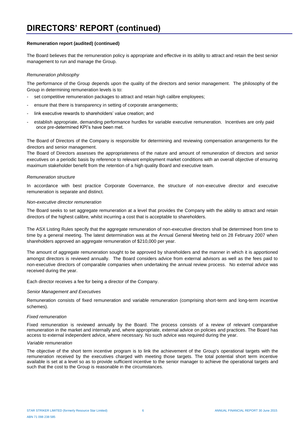### **Remuneration report (audited) (continued)**

The Board believes that the remuneration policy is appropriate and effective in its ability to attract and retain the best senior management to run and manage the Group.

#### *Remuneration philosophy*

The performance of the Group depends upon the quality of the directors and senior management. The philosophy of the Group in determining remuneration levels is to:

- set competitive remuneration packages to attract and retain high calibre employees;
- ensure that there is transparency in setting of corporate arrangements;
- link executive rewards to shareholders' value creation; and
- establish appropriate, demanding performance hurdles for variable executive remuneration. Incentives are only paid once pre-determined KPI's have been met.

The Board of Directors of the Company is responsible for determining and reviewing compensation arrangements for the directors and senior management.

The Board of Directors assesses the appropriateness of the nature and amount of remuneration of directors and senior executives on a periodic basis by reference to relevant employment market conditions with an overall objective of ensuring maximum stakeholder benefit from the retention of a high quality Board and executive team.

#### *Remuneration structure*

In accordance with best practice Corporate Governance, the structure of non-executive director and executive remuneration is separate and distinct.

#### *Non-executive director remuneration*

The Board seeks to set aggregate remuneration at a level that provides the Company with the ability to attract and retain directors of the highest calibre, whilst incurring a cost that is acceptable to shareholders.

The ASX Listing Rules specify that the aggregate remuneration of non-executive directors shall be determined from time to time by a general meeting. The latest determination was at the Annual General Meeting held on 28 February 2007 when shareholders approved an aggregate remuneration of \$210,000 per year.

The amount of aggregate remuneration sought to be approved by shareholders and the manner in which it is apportioned amongst directors is reviewed annually. The Board considers advice from external advisors as well as the fees paid to non-executive directors of comparable companies when undertaking the annual review process. No external advice was received during the year.

Each director receives a fee for being a director of the Company.

#### *Senior Management and Executives*

Remuneration consists of fixed remuneration and variable remuneration (comprising short-term and long-term incentive schemes).

#### *Fixed remuneration*

Fixed remuneration is reviewed annually by the Board. The process consists of a review of relevant comparative remuneration in the market and internally and, where appropriate, external advice on policies and practices. The Board has access to external independent advice, where necessary. No such advice was required during the year.

#### *Variable remuneration*

The objective of the short term incentive program is to link the achievement of the Group's operational targets with the remuneration received by the executives charged with meeting those targets. The total potential short term incentive available is set at a level so as to provide sufficient incentive to the senior manager to achieve the operational targets and such that the cost to the Group is reasonable in the circumstances.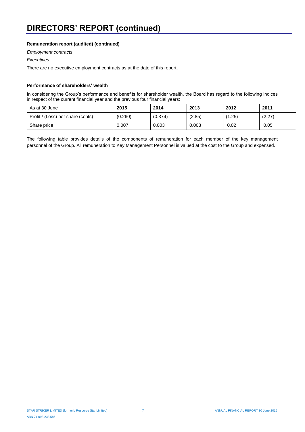# **Remuneration report (audited) (continued)**

*Employment contracts*

*Executives*

There are no executive employment contracts as at the date of this report.

# **Performance of shareholders' wealth**

In considering the Group's performance and benefits for shareholder wealth, the Board has regard to the following indices in respect of the current financial year and the previous four financial years:

| As at 30 June                     | 2015    | 2014    | 2013   | 2012 | 2011   |
|-----------------------------------|---------|---------|--------|------|--------|
| Profit / (Loss) per share (cents) | (0.260) | (0.374) | (2.85) | 1.25 | (2.27) |
| Share price                       | 0.007   | 0.003   | 0.008  | 0.02 | 0.05   |

The following table provides details of the components of remuneration for each member of the key management personnel of the Group. All remuneration to Key Management Personnel is valued at the cost to the Group and expensed.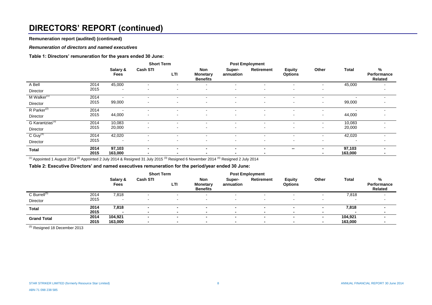# **DIRECTORS' REPORT (continued)**

**Remuneration report (audited) (continued)**

# *Remuneration of directors and named executives*

#### **Table 1: Directors' remuneration for the years ended 30 June:**

|                             |      | <b>Short Term</b>        |                          |                |                                           |                     | <b>Post Employment</b>   |                                 |        |                          |                             |
|-----------------------------|------|--------------------------|--------------------------|----------------|-------------------------------------------|---------------------|--------------------------|---------------------------------|--------|--------------------------|-----------------------------|
|                             |      | Salary &<br>Fees         | <b>Cash STI</b>          | LTI            | Non<br><b>Monetary</b><br><b>Benefits</b> | Super-<br>annuation | Retirement               | <b>Equity</b><br><b>Options</b> | Other  | <b>Total</b>             | %<br>Performance<br>Related |
| A Bell                      | 2014 | 45,000                   |                          |                | ۰                                         |                     |                          |                                 | ۰.     | 45,000                   | $\,$ $\,$                   |
| Director                    | 2015 | $\overline{\phantom{a}}$ | $\overline{\phantom{a}}$ | $\blacksquare$ | $\,$                                      | $\,$                | $\blacksquare$           | $\,$                            | ۰      |                          | $\sim$                      |
| M Walker <sup>(1)</sup>     | 2014 | $\overline{\phantom{a}}$ |                          |                | -                                         |                     |                          |                                 |        |                          | $\blacksquare$              |
| Director                    | 2015 | 99,000                   | $\overline{\phantom{a}}$ | $\sim$         | $\,$                                      | $\blacksquare$      | $\blacksquare$           | $\,$                            | ۰.     | 99,000                   | $\blacksquare$              |
| R Parker $(2)$              | 2014 | $\blacksquare$           |                          |                | -                                         |                     |                          |                                 |        |                          | $\overline{\phantom{0}}$    |
| Director                    | 2015 | 44,000                   | $\overline{\phantom{a}}$ | $\blacksquare$ | $\,$                                      | $\,$                | $\blacksquare$           | $\,$                            | ۰.     | 44,000                   | $\overline{\phantom{0}}$    |
| G Karantzias <sup>(3)</sup> | 2014 | 10,083                   |                          | $\blacksquare$ | ۰                                         | $\sim$              | $\overline{\phantom{0}}$ |                                 | ۰.     | 10,083                   | $\overline{\phantom{0}}$    |
| Director                    | 2015 | 20,000                   | $\overline{\phantom{a}}$ | $\blacksquare$ | $\,$                                      | $\,$                | $\overline{\phantom{a}}$ | $\,$                            | $\sim$ | 20,000                   |                             |
| $C$ Guy <sup>(4)</sup>      | 2014 | 42,020                   |                          | $\blacksquare$ | ۰                                         | $\sim$              | $\overline{\phantom{0}}$ | $\sim$                          | ۰.     | 42,020                   | $\sim$                      |
| Director                    | 2015 | $\,$ $\,$                | $\overline{\phantom{a}}$ | $\sim$         | $\,$                                      | $\blacksquare$      | $\blacksquare$           | $\blacksquare$                  |        | $\overline{\phantom{a}}$ | $\blacksquare$              |
| Total                       | 2014 | 97,103                   | $\blacksquare$           | $\blacksquare$ | -                                         | $\blacksquare$      | -                        | $- -$                           | ۰      | 97,103                   | $\overline{\phantom{a}}$    |
|                             | 2015 | 163,000                  | $\blacksquare$           | ۰              | $\blacksquare$                            | $\blacksquare$      | $\blacksquare$           |                                 |        | 163,000                  | $\blacksquare$              |

 $^{(1)}$  Appointed 1 August 2014<sup>(2)</sup> Appointed 2 July 2014 & Resigned 31 July 2015<sup>(3)</sup> Resigned 6 November 2014<sup>(4)</sup> Resigned 2 July 2014

#### **Table 2: Executive Directors' and named executives remuneration for the period/year ended 30 June:**

|                            |      |                          | <b>Short Term</b>        |                |                                           | <b>Post Employment</b> |            |                                 |                |                          |                                    |
|----------------------------|------|--------------------------|--------------------------|----------------|-------------------------------------------|------------------------|------------|---------------------------------|----------------|--------------------------|------------------------------------|
|                            |      | Salary &<br>Fees         | Cash STI                 | LTI            | Non<br><b>Monetary</b><br><b>Benefits</b> | Super-<br>annuation    | Retirement | <b>Equity</b><br><b>Options</b> | Other          | Total                    | %<br>Performance<br><b>Related</b> |
| $C$ Burrell <sup>(5)</sup> | 2014 | 7,818                    | $\overline{\phantom{a}}$ | $\blacksquare$ |                                           |                        |            |                                 |                | 7,818                    | $\overline{\phantom{0}}$           |
| Director                   | 2015 | $\overline{\phantom{a}}$ | $\overline{\phantom{0}}$ | $\blacksquare$ | $\sim$                                    |                        |            |                                 |                | $\overline{\phantom{0}}$ | $\overline{\phantom{0}}$           |
| <b>Total</b>               | 2014 | 7,818                    | $\blacksquare$           |                |                                           |                        | -          |                                 | $\blacksquare$ | 7,818                    |                                    |
|                            | 2015 | $\overline{\phantom{a}}$ | $\overline{\phantom{a}}$ |                | $\overline{\phantom{0}}$                  |                        |            |                                 |                |                          | $\overline{\phantom{0}}$           |
| <b>Grand Total</b>         | 2014 | 104.921                  | $\overline{\phantom{0}}$ | $\blacksquare$ | $\overline{\phantom{a}}$                  | . .                    | . .        |                                 |                | 104,921                  |                                    |
|                            | 2015 | 163,000                  |                          |                |                                           |                        |            |                                 |                | 163,000                  |                                    |

 $\overline{^{(5)}$  Resigned 18 December 2013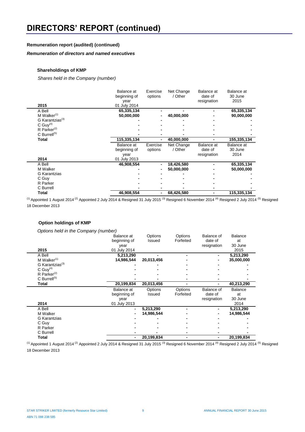# **Remuneration report (audited) (continued)**

# *Remuneration of directors and named executives*

# **Shareholdings of KMP**

*Shares held in the Company (number)*

| 2015                        | Balance at<br>beginning of<br>year<br>01 July 2014 | Exercise<br>options | Net Change<br>/ Other | Balance at<br>date of<br>resignation | Balance at<br>30 June<br>2015 |
|-----------------------------|----------------------------------------------------|---------------------|-----------------------|--------------------------------------|-------------------------------|
| A Bell                      | 65,335,134                                         |                     |                       |                                      | 65,335,134                    |
| M Walker <sup>(1)</sup>     | 50,000,000                                         |                     | 40,000,000            |                                      | 90,000,000                    |
| G Karantzias <sup>(3)</sup> |                                                    |                     |                       |                                      |                               |
| $C$ Guy <sup>(4)</sup>      |                                                    |                     |                       |                                      |                               |
| R Parker $(2)$              |                                                    |                     |                       |                                      |                               |
| C Burrell <sup>(5)</sup>    |                                                    |                     |                       |                                      |                               |
| Total                       | 115,335,134                                        | ٠                   | 40,000,000            |                                      | 155,335,134                   |
|                             | Balance at                                         | Exercise            | Net Change            | Balance at                           | Balance at                    |
|                             |                                                    |                     |                       |                                      |                               |
|                             | beginning of                                       | options             | / Other               | date of                              | 30 June                       |
|                             | year                                               |                     |                       | resignation                          | 2014                          |
| 2014                        | 01 July 2013                                       |                     |                       |                                      |                               |
| A Bell                      | 46,908,554                                         | -                   | 18,426,580            |                                      | 65,335,134                    |
| M Walker                    |                                                    |                     | 50,000,000            |                                      | 50,000,000                    |
| G Karantzias                |                                                    |                     |                       |                                      |                               |
| C Guy                       |                                                    |                     |                       |                                      |                               |
| R Parker                    |                                                    |                     |                       |                                      |                               |
| C Burrell                   |                                                    |                     |                       |                                      |                               |

(1) Appointed 1 August 2014<sup>(2)</sup> Appointed 2 July 2014 & Resigned 31 July 2015<sup>(3)</sup> Resigned 6 November 2014<sup>(4)</sup> Resigned 2 July 2014<sup>(5)</sup> Resigned 18 December 2013

# **Option holdings of KMP**

 *Options held in the Company (number)*

|                             | Balance at<br>beginning of | Options<br>Issued | Options<br>Forfeited | Balance of<br>date of | Balance<br>at<br>30 June |
|-----------------------------|----------------------------|-------------------|----------------------|-----------------------|--------------------------|
| 2015                        | year<br>01 July 2014       |                   |                      | resignation           | 2015                     |
| A Bell                      | 5,213,290                  |                   |                      |                       | 5,213,290                |
| M Walker <sup>(1)</sup>     | 14,986,544                 | 20,013,456        |                      |                       | 35,000,000               |
| G Karantzias <sup>(3)</sup> |                            |                   |                      |                       |                          |
| $C$ Guy <sup>(4)</sup>      |                            |                   |                      |                       |                          |
| R Parker <sup>(2)</sup>     |                            |                   |                      |                       |                          |
| C Burrell <sup>(5)</sup>    |                            |                   |                      |                       |                          |
| Total                       | 20,199,834                 | 20,013,456        |                      |                       | 40,213,290               |
|                             | Balance at                 | Options           | Options              | Balance of            | <b>Balance</b>           |
|                             | beginning of               | Issued            | Forfeited            | date of               | at                       |
|                             | year                       |                   |                      | resignation           | 30 June                  |
| 2014                        |                            |                   |                      |                       |                          |
|                             | 01 July 2013               |                   |                      |                       | 2014                     |
| A Bell                      |                            | 5,213,290         |                      |                       | 5,213,290                |
| M Walker                    |                            | 14,986,544        |                      |                       | 14,986,544               |
| G Karantzias                |                            |                   |                      |                       |                          |
| C Guy                       |                            |                   |                      |                       |                          |
| R Parker                    |                            |                   |                      |                       |                          |
| C Burrell                   |                            |                   |                      |                       |                          |

(1) Appointed 1 August 2014<sup>(2)</sup> Appointed 2 July 2014 & Resigned 31 July 2015<sup>(3)</sup> Resigned 6 November 2014<sup>(4)</sup> Resigned 2 July 2014<sup>(5)</sup> Resigned 18 December 2013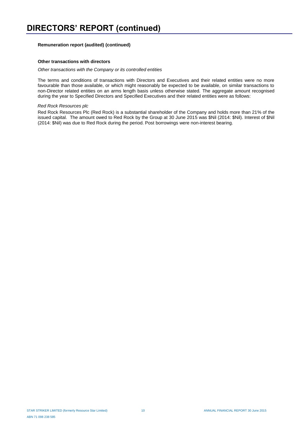## **Remuneration report (audited) (continued)**

#### **Other transactions with directors**

#### *Other transactions with the Company or its controlled entities*

The terms and conditions of transactions with Directors and Executives and their related entities were no more favourable than those available, or which might reasonably be expected to be available, on similar transactions to non-Director related entities on an arms length basis unless otherwise stated. The aggregate amount recognised during the year to Specified Directors and Specified Executives and their related entities were as follows:

#### *Red Rock Resources plc*

Red Rock Resources Plc (Red Rock) is a substantial shareholder of the Company and holds more than 21% of the issued capital. The amount owed to Red Rock by the Group at 30 June 2015 was \$Nil (2014: \$Nil). Interest of \$Nil (2014: \$Nil) was due to Red Rock during the period. Post borrowings were non-interest bearing.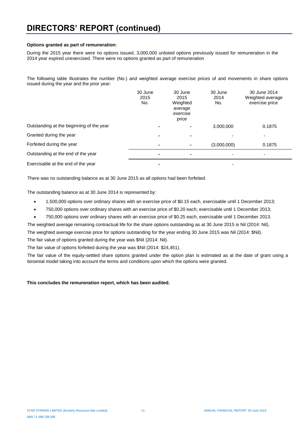## **Options granted as part of remuneration:**

During the 2015 year there were no options issued, 3,000,000 unlisted options previously issued for remuneration in the 2014 year expired unexercised. There were no options granted as part of remuneration

The following table illustrates the number (No.) and weighted average exercise prices of and movements in share options issued during the year and the prior year:

|                                          | 30 June<br>2015<br>No. | 30 June<br>2015<br>Weighted<br>average<br>exercise<br>price | 30 June<br>2014<br>No. | 30 June 2014<br>Weighted average<br>exercise price |
|------------------------------------------|------------------------|-------------------------------------------------------------|------------------------|----------------------------------------------------|
| Outstanding at the beginning of the year |                        |                                                             | 3,000,000              | 0.1875                                             |
| Granted during the year                  | -                      |                                                             |                        |                                                    |
| Forfeited during the year                | $\blacksquare$         |                                                             | (3,000,000)            | 0.1875                                             |
| Outstanding at the end of the year       | $\blacksquare$         |                                                             |                        |                                                    |
| Exercisable at the end of the year       | ۰                      |                                                             |                        |                                                    |

There was no outstanding balance as at 30 June 2015 as all options had been forfeited.

The outstanding balance as at 30 June 2014 is represented by:

- 1,500,000 options over ordinary shares with an exercise price of \$0.15 each, exercisable until 1 December 2013;
- 750,000 options over ordinary shares with an exercise price of \$0.20 each, exercisable until 1 December 2013;
- 750,000 options over ordinary shares with an exercise price of \$0.25 each, exercisable until 1 December 2013.

The weighted average remaining contractual life for the share options outstanding as at 30 June 2015 is Nil (2014: Nil). The weighted average exercise price for options outstanding for the year ending 30 June 2015 was Nil (2014: \$Nil). The fair value of options granted during the year was \$Nil (2014: Nil).

The fair value of options forfeited during the year was \$Nil (2014: \$24,451).

The fair value of the equity-settled share options granted under the option plan is estimated as at the date of grant using a binomial model taking into account the terms and conditions upon which the options were granted.

**This concludes the remuneration report, which has been audited.**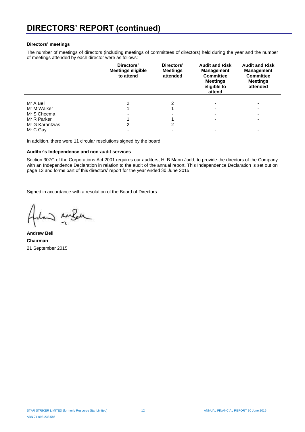# **Directors' meetings**

The number of meetings of directors (including meetings of committees of directors) held during the year and the number of meetings attended by each director were as follows:

|                 | Directors'<br><b>Meetings eligible</b><br>to attend | Directors'<br><b>Meetings</b><br>attended | <b>Audit and Risk</b><br><b>Management</b><br><b>Committee</b><br><b>Meetings</b><br>eligible to<br>attend | <b>Audit and Risk</b><br><b>Management</b><br><b>Committee</b><br><b>Meetings</b><br>attended |
|-----------------|-----------------------------------------------------|-------------------------------------------|------------------------------------------------------------------------------------------------------------|-----------------------------------------------------------------------------------------------|
|                 |                                                     |                                           |                                                                                                            |                                                                                               |
| Mr A Bell       | າ                                                   |                                           |                                                                                                            |                                                                                               |
| Mr M Walker     |                                                     |                                           |                                                                                                            |                                                                                               |
| Mr S Cheema     |                                                     |                                           |                                                                                                            |                                                                                               |
| Mr R Parker     |                                                     |                                           |                                                                                                            |                                                                                               |
| Mr G Karantzias |                                                     |                                           |                                                                                                            |                                                                                               |
| Mr C Guy        |                                                     |                                           |                                                                                                            |                                                                                               |

In addition, there were 11 circular resolutions signed by the board.

#### **Auditor's Independence and non-audit services**

Section 307C of the Corporations Act 2001 requires our auditors, HLB Mann Judd, to provide the directors of the Company with an Independence Declaration in relation to the audit of the annual report. This Independence Declaration is set out on page 13 and forms part of this directors' report for the year ended 30 June 2015.

Signed in accordance with a resolution of the Board of Directors

den enfer

**Andrew Bell Chairman** 21 September 2015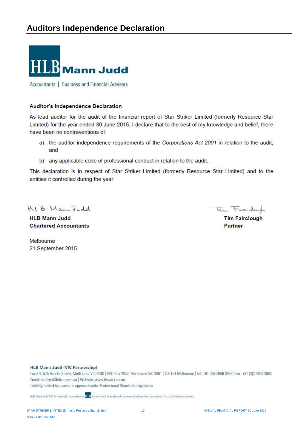# **Auditors Independence Declaration**



Accountants | Business and Financial Advisers

# Auditor's Independence Declaration

As lead auditor for the audit of the financial report of Star Striker Limited (formerly Resource Star Limited) for the year ended 30 June 2015, I declare that to the best of my knowledge and belief, there have been no contraventions of:

- a) the auditor independence requirements of the Corporations Act 2001 in relation to the audit; and
- b) any applicable code of professional conduct in relation to the audit.

This declaration is in respect of Star Striker Limited (formerly Resource Star Limited) and to the entities it controlled during the year.

HIB Mann Judd

**HLB Mann Judd Chartered Accountants** 

ten Faxiley

**Tim Fairclough** Partner

Melbourne 21 September 2015

**HLB Mann Judd (VIC Partnership)** 

Level 9, 575 Bourke Street, Melbourne VIC 3000 | GPO Box 2850, Melbourne VIC 3001 | DX 154 Melbourne | Tel: +61 (0)3 9606 3888 | Fax: +61 (0)3 9606 3800 Email: mailbox@hlbvic.com.au | Website: www.hlbvic.com.au Liability limited by a scheme approved under Professional Standards Legislation

HLB Mans Judd (VIC Partnership) is a member of **HLE** International. A world-wide network of independent accounting firms and fusiness advisors.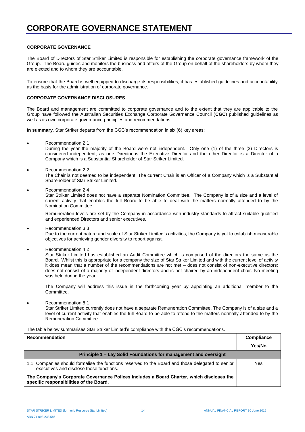# **CORPORATE GOVERNANCE**

The Board of Directors of Star Striker Limited is responsible for establishing the corporate governance framework of the Group. The Board guides and monitors the business and affairs of the Group on behalf of the shareholders by whom they are elected and to whom they are accountable.

To ensure that the Board is well equipped to discharge its responsibilities, it has established guidelines and accountability as the basis for the administration of corporate governance.

#### **CORPORATE GOVERNANCE DISCLOSURES**

The Board and management are committed to corporate governance and to the extent that they are applicable to the Group have followed the Australian Securities Exchange Corporate Governance Council (**CGC**) published guidelines as well as its own corporate governance principles and recommendations.

**In summary**, Star Striker departs from the CGC's recommendation in six (6) key areas:

Recommendation 2.1

Duriing the year the majority of the Board were not independent. Only one (1) of the three (3) Directors is considered independent; as one Director is the Executive Director and the other Director is a Director of a Company which is a Substantial Shareholder of Star Striker Limited.

Recommendation 2.2

The Chair is not deemed to be independent. The current Chair is an Officer of a Company which is a Substantial Shareholder of Star Striker Limited.

Recommendation 2.4

Star Striker Limited does not have a separate Nomination Committee. The Company is of a size and a level of current activity that enables the full Board to be able to deal with the matters normally attended to by the Nomination Committee.

Remuneration levels are set by the Company in accordance with industry standards to attract suitable qualified and experienced Directors and senior executives.

- Recommendation 3.3 Due to the current nature and scale of Star Striker Limited's activities, the Company is yet to establish measurable objectives for achieving gender diversity to report against.
- Recommendation 4.2

Star Striker Limited has established an Audit Committee which is comprised of the directors the same as the Board. Whilst this is appropriate for a company the size of Star Striker Limited and with the current level of activity it does mean that a number of the recommendations are not met – does not consist of non-executive directors; does not consist of a majority of independent directors and is not chaired by an independent chair. No meeting was held during the year.

The Company will address this issue in the forthcoming year by appointing an additional member to the Committee.

Recommendation 8.1

Star Striker Limited currently does not have a separate Remuneration Committee. The Company is of a size and a level of current activity that enables the full Board to be able to attend to the matters normally attended to by the Remuneration Committee.

The table below summarises Star Striker Limited's compliance with the CGC's recommendations.

| <b>Recommendation</b>                                                                                                                        | Compliance |
|----------------------------------------------------------------------------------------------------------------------------------------------|------------|
|                                                                                                                                              | Yes/No     |
| Principle 1 – Lay Solid Foundations for management and oversight                                                                             |            |
| 1.1 Companies should formalise the functions reserved to the Board and those delegated to senior<br>executives and disclose those functions. | Yes        |
| The Company's Corporate Governance Polices includes a Board Charter, which discloses the<br>specific responsibilities of the Board.          |            |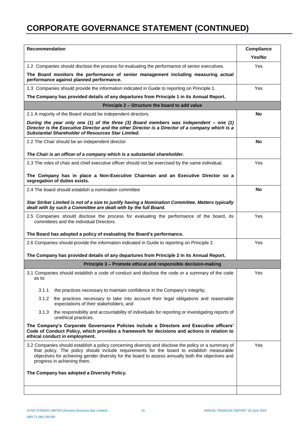| Recommendation                                                                                                                                                                                                                                                                                                                         | <b>Compliance</b> |  |  |
|----------------------------------------------------------------------------------------------------------------------------------------------------------------------------------------------------------------------------------------------------------------------------------------------------------------------------------------|-------------------|--|--|
|                                                                                                                                                                                                                                                                                                                                        | Yes/No            |  |  |
| 1.2 Companies should disclose the process for evaluating the performance of senior executives.                                                                                                                                                                                                                                         | Yes               |  |  |
| The Board monitors the performance of senior management including measuring actual<br>performance against planned performance.                                                                                                                                                                                                         |                   |  |  |
| 1.3 Companies should provide the information indicated in Guide to reporting on Principle 1.                                                                                                                                                                                                                                           | Yes               |  |  |
| The Company has provided details of any departures from Principle 1 in its Annual Report.                                                                                                                                                                                                                                              |                   |  |  |
| Principle 2 - Structure the board to add value                                                                                                                                                                                                                                                                                         |                   |  |  |
| 2.1 A majority of the Board should be independent directors.                                                                                                                                                                                                                                                                           | No                |  |  |
| During the year only one (1) of the three (3) Board members was independent - one (1)<br>Director is the Executive Director and the other Director is a Director of a company which is a<br><b>Substantial Shareholder of Resources Star Limited.</b>                                                                                  |                   |  |  |
| 2.2 The Chair should be an independent director                                                                                                                                                                                                                                                                                        | No                |  |  |
| The Chair is an officer of a company which is a substantial shareholder.                                                                                                                                                                                                                                                               |                   |  |  |
| 2.3 The roles of chair and chief executive officer should not be exercised by the same individual.                                                                                                                                                                                                                                     | Yes               |  |  |
| The Company has in place a Non-Executive Chairman and an Executive Director so a<br>segregation of duties exists.                                                                                                                                                                                                                      |                   |  |  |
| 2.4 The board should establish a nomination committee                                                                                                                                                                                                                                                                                  | <b>No</b>         |  |  |
| Star Striker Limited is not of a size to justify having a Nomination Committee. Matters typically<br>dealt with by such a Committee are dealt with by the full Board.                                                                                                                                                                  |                   |  |  |
| 2.5 Companies should disclose the process for evaluating the performance of the board, its<br>committees and the individual Directors.                                                                                                                                                                                                 | Yes               |  |  |
| The Board has adopted a policy of evaluating the Board's performance.                                                                                                                                                                                                                                                                  |                   |  |  |
| 2.6 Companies should provide the information indicated in Guide to reporting on Principle 2.                                                                                                                                                                                                                                           | Yes               |  |  |
| The Company has provided details of any departures from Principle 2 in its Annual Report.                                                                                                                                                                                                                                              |                   |  |  |
| Principle 3 – Promote ethical and responsible decision-making                                                                                                                                                                                                                                                                          |                   |  |  |
| 3.1 Companies should establish a code of conduct and disclose the code or a summary of the code<br>as to:                                                                                                                                                                                                                              | Yes               |  |  |
| 3.1.1<br>the practices necessary to maintain confidence in the Company's integrity;                                                                                                                                                                                                                                                    |                   |  |  |
| 3.1.2<br>the practices necessary to take into account their legal obligations and reasonable<br>expectations of their stakeholders; and                                                                                                                                                                                                |                   |  |  |
| the responsibility and accountability of individuals for reporting or investigating reports of<br>3.1.3<br>unethical practices.                                                                                                                                                                                                        |                   |  |  |
| The Company's Corporate Governance Policies include a Directors and Executive officers'<br>Code of Conduct Policy, which provides a framework for decisions and actions in relation to<br>ethical conduct in employment.                                                                                                               |                   |  |  |
| 3.2 Companies should establish a policy concerning diversity and disclose the policy or a summary of<br>that policy. The policy should include requirements for the board to establish measurable<br>objectives for achieving gender diversity for the board to assess annually both the objectives and<br>progress in achieving them. | Yes               |  |  |
| The Company has adopted a Diversity Policy.                                                                                                                                                                                                                                                                                            |                   |  |  |
|                                                                                                                                                                                                                                                                                                                                        |                   |  |  |
|                                                                                                                                                                                                                                                                                                                                        |                   |  |  |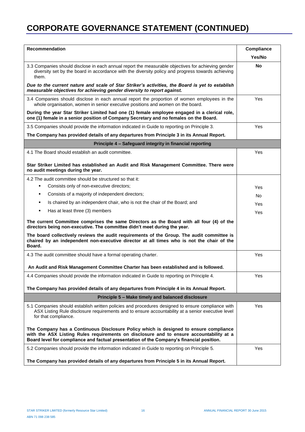| <b>Recommendation</b>                                                                                                                                                                                                                                                        | Compliance |
|------------------------------------------------------------------------------------------------------------------------------------------------------------------------------------------------------------------------------------------------------------------------------|------------|
|                                                                                                                                                                                                                                                                              | Yes/No     |
| 3.3 Companies should disclose in each annual report the measurable objectives for achieving gender<br>diversity set by the board in accordance with the diversity policy and progress towards achieving<br>them.                                                             | <b>No</b>  |
| Due to the current nature and scale of Star Striker's activities, the Board is yet to establish<br>measurable objectives for achieving gender diversity to report against.                                                                                                   |            |
| 3.4 Companies should disclose in each annual report the proportion of women employees in the<br>whole organisation, women in senior executive positions and women on the board.                                                                                              | Yes        |
| During the year Star Striker Limited had one (1) female employee engaged in a clerical role,<br>one (1) female in a senior position of Company Secretary and no females on the Board.                                                                                        |            |
| 3.5 Companies should provide the information indicated in Guide to reporting on Principle 3.                                                                                                                                                                                 | Yes        |
| The Company has provided details of any departures from Principle 3 in its Annual Report.                                                                                                                                                                                    |            |
| Principle 4 - Safeguard integrity in financial reporting                                                                                                                                                                                                                     |            |
| 4.1 The Board should establish an audit committee.                                                                                                                                                                                                                           | Yes        |
| Star Striker Limited has established an Audit and Risk Management Committee. There were<br>no audit meetings during the year.                                                                                                                                                |            |
| 4.2 The audit committee should be structured so that it:                                                                                                                                                                                                                     |            |
| Consists only of non-executive directors;                                                                                                                                                                                                                                    | Yes        |
| Consists of a majority of independent directors;<br>п                                                                                                                                                                                                                        | No.        |
| Is chaired by an independent chair, who is not the chair of the Board; and<br>п                                                                                                                                                                                              | Yes        |
| Has at least three (3) members<br>п                                                                                                                                                                                                                                          | Yes        |
| The current Committee comprises the same Directors as the Board with all four (4) of the<br>directors being non-executive. The committee didn't meet during the year.                                                                                                        |            |
| The board collectively reviews the audit requirements of the Group. The audit committee is<br>chaired by an independent non-executive director at all times who is not the chair of the<br>Board.                                                                            |            |
| 4.3 The audit committee should have a formal operating charter.                                                                                                                                                                                                              | Yes        |
| An Audit and Risk Management Committee Charter has been established and is followed.                                                                                                                                                                                         |            |
| 4.4 Companies should provide the information indicated in Guide to reporting on Principle 4.                                                                                                                                                                                 | Yes        |
|                                                                                                                                                                                                                                                                              |            |
| The Company has provided details of any departures from Principle 4 in its Annual Report.                                                                                                                                                                                    |            |
| Principle 5 - Make timely and balanced disclosure                                                                                                                                                                                                                            |            |
| 5.1 Companies should establish written policies and procedures designed to ensure compliance with<br>ASX Listing Rule disclosure requirements and to ensure accountability at a senior executive level<br>for that compliance.                                               | Yes        |
| The Company has a Continuous Disclosure Policy which is designed to ensure compliance<br>with the ASX Listing Rules requirements on disclosure and to ensure accountability at a<br>Board level for compliance and factual presentation of the Company's financial position. |            |
| 5.2 Companies should provide the information indicated in Guide to reporting on Principle 5.                                                                                                                                                                                 | Yes        |
| The Company has provided details of any departures from Principle 5 in its Annual Report.                                                                                                                                                                                    |            |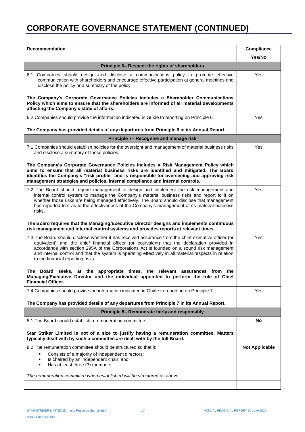| Recommendation                                                                                                                                                                                                                                                                                                                                                                                                                                                             | Compliance            |
|----------------------------------------------------------------------------------------------------------------------------------------------------------------------------------------------------------------------------------------------------------------------------------------------------------------------------------------------------------------------------------------------------------------------------------------------------------------------------|-----------------------|
|                                                                                                                                                                                                                                                                                                                                                                                                                                                                            | Yes/No                |
| Principle 6- Respect the rights of shareholders                                                                                                                                                                                                                                                                                                                                                                                                                            |                       |
| 6.1 Companies should design and disclose a communications policy to promote effective<br>communication with shareholders and encourage effective participation at general meetings and<br>disclose the policy or a summary of the policy.<br>The Company's Corporate Governance Policies includes a Shareholder Communications<br>Policy which aims to ensure that the shareholders are informed of all material developments<br>affecting the Company's state of affairs. | Yes                   |
| 6.2 Companies should provide the information indicated in Guide to reporting on Principle 6.                                                                                                                                                                                                                                                                                                                                                                               | Yes                   |
| The Company has provided details of any departures from Principle 6 in its Annual Report.                                                                                                                                                                                                                                                                                                                                                                                  |                       |
| Principle 7- Recognise and manage risk                                                                                                                                                                                                                                                                                                                                                                                                                                     |                       |
| 7.1 Companies should establish policies for the oversight and management of material business risks                                                                                                                                                                                                                                                                                                                                                                        | Yes                   |
| and disclose a summary of those policies.                                                                                                                                                                                                                                                                                                                                                                                                                                  |                       |
| The Company's Corporate Governance Policies includes a Risk Management Policy which<br>aims to ensure that all material business risks are identified and mitigated. The Board<br>identifies the Company's "risk profile" and is responsible for overseeing and approving risk<br>management strategies and policies, internal compliance and internal controls.                                                                                                           |                       |
| 7.2 The Board should require management to design and implement the risk management and<br>internal control system to manage the Company's material business risks and report to it on<br>whether those risks are being managed effectively. The Board should disclose that management<br>has reported to it as to the effectiveness of the Company's management of its material business<br>risks.                                                                        | Yes                   |
| The Board requires that the Managing/Executive Director designs and implements continuous<br>risk management and internal control systems and provides reports at relevant times.                                                                                                                                                                                                                                                                                          |                       |
| 7.3 The Board should disclose whether it has received assurance from the chief executive officer (or<br>equivalent) and the chief financial officer (or equivalent) that the declaration provided in<br>accordance with section 295A of the Corporations Act is founded on a sound risk management<br>and internal control and that the system is operating effectively in all material respects in relation<br>to the financial reporting risks.                          | Yes                   |
| Board seeks, at the appropriate times, the relevant assurances from the<br>The<br>Managing/Executive Director and the individual appointed to perform the role of Chief<br><b>Financial Officer.</b>                                                                                                                                                                                                                                                                       |                       |
| 7.4 Companies should provide the information indicated in Guide to reporting on Principle 7.                                                                                                                                                                                                                                                                                                                                                                               | Yes                   |
| The Company has provided details of any departures from Principle 7 in its Annual Report.                                                                                                                                                                                                                                                                                                                                                                                  |                       |
| Principle 8- Remunerate fairly and responsibly                                                                                                                                                                                                                                                                                                                                                                                                                             |                       |
| 8.1 The Board should establish a remuneration committee.                                                                                                                                                                                                                                                                                                                                                                                                                   | No                    |
| Star Striker Limited is not of a size to justify having a remuneration committee. Matters<br>typically dealt with by such a committee are dealt with by the full Board.                                                                                                                                                                                                                                                                                                    |                       |
| 8.2 The remuneration committee should be structured so that it:                                                                                                                                                                                                                                                                                                                                                                                                            | <b>Not Applicable</b> |
| Consists of a majority of independent directors;<br>Is chaired by an independent chair; and<br>Has at least three (3) members<br>٠                                                                                                                                                                                                                                                                                                                                         |                       |
| The remuneration committee when established will be structured as above.                                                                                                                                                                                                                                                                                                                                                                                                   |                       |
|                                                                                                                                                                                                                                                                                                                                                                                                                                                                            |                       |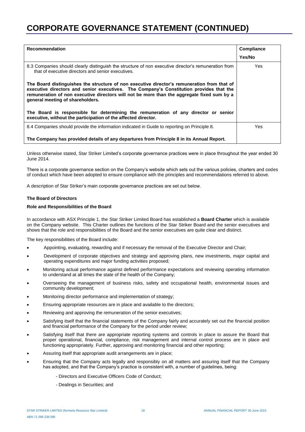| <b>Recommendation</b>                                                                                                                                                                                                                                                                                                    | <b>Compliance</b> |
|--------------------------------------------------------------------------------------------------------------------------------------------------------------------------------------------------------------------------------------------------------------------------------------------------------------------------|-------------------|
|                                                                                                                                                                                                                                                                                                                          | Yes/No            |
| 8.3 Companies should clearly distinguish the structure of non executive director's remuneration from<br>that of executive directors and senior executives.                                                                                                                                                               | Yes               |
| The Board distinguishes the structure of non executive director's remuneration from that of<br>executive directors and senior executives. The Company's Constitution provides that the<br>remuneration of non executive directors will not be more than the aggregate fixed sum by a<br>general meeting of shareholders. |                   |
| The Board is responsible for determining the remuneration of any director or senior<br>executive, without the participation of the affected director.                                                                                                                                                                    |                   |
| 8.4 Companies should provide the information indicated in Guide to reporting on Principle 8.                                                                                                                                                                                                                             | Yes               |
| The Company has provided details of any departures from Principle 8 in its Annual Report.                                                                                                                                                                                                                                |                   |

Unless otherwise stated, Star Striker Limited's corporate governance practices were in place throughout the year ended 30 June 2014.

There is a corporate governance section on the Company's website which sets out the various policies, charters and codes of conduct which have been adopted to ensure compliance with the principles and recommendations referred to above.

A description of Star Striker's main corporate governance practices are set out below.

#### **The Board of Directors**

#### **Role and Responsibilities of the Board**

In accordance with ASX Principle 1, the Star Striker Limited Board has established a **Board Charter** which is available on the Company website. This Charter outlines the functions of the Star Striker Board and the senior executives and shows that the role and responsibilities of the Board and the senior executives are quite clear and distinct.

The key responsibilities of the Board include:

- Appointing, evaluating, rewarding and if necessary the removal of the Executive Director and Chair;
- Development of corporate objectives and strategy and approving plans, new investments, major capital and operating expenditures and major funding activities proposed;
- Monitoring actual performance against defined performance expectations and reviewing operating information to understand at all times the state of the health of the Company;
- Overseeing the management of business risks, safety and occupational health, environmental issues and community development;
- Monitoring director performance and implementation of strategy;
- Ensuring appropriate resources are in place and available to the directors;
- Reviewing and approving the remuneration of the senior executives;
- Satisfying itself that the financial statements of the Company fairly and accurately set out the financial position and financial performance of the Company for the period under review;
- Satisfying itself that there are appropriate reporting systems and controls in place to assure the Board that proper operational, financial, compliance, risk management and internal control process are in place and functioning appropriately. Further, approving and monitoring financial and other reporting;
- Assuring itself that appropriate audit arrangements are in place;
- Ensuring that the Company acts legally and responsibly on all matters and assuring itself that the Company has adopted, and that the Company's practice is consistent with, a number of guidelines, being:
	- Directors and Executive Officers Code of Conduct;
	- Dealings in Securities; and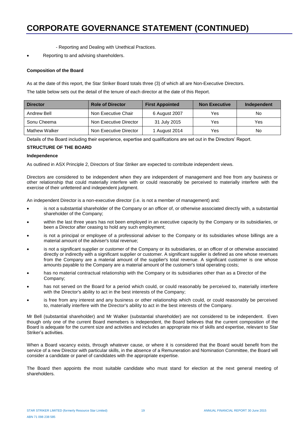- Reporting and Dealing with Unethical Practices.
- Reporting to and advising shareholders.

#### **Composition of the Board**

As at the date of this report, the Star Striker Board totals three (3) of which all are Non-Executive Directors.

The table below sets out the detail of the tenure of each director at the date of this Report.

| <b>Director</b> | <b>Role of Director</b> | <b>First Appointed</b> | <b>Non Executive</b> | Independent |
|-----------------|-------------------------|------------------------|----------------------|-------------|
| Andrew Bell     | Non Executive Chair     | 6 August 2007          | Yes                  | No          |
| Sonu Cheema     | Non Executive Director  | 31 July 2015           | Yes                  | Yes         |
| Mathew Walker   | Non Executive Director  | 1 August 2014          | Yes                  | No          |

Details of the Board including their experience, expertise and qualifications are set out in the Directors' Report.

#### **STRUCTURE OF THE BOARD**

#### **Independence**

As outlined in ASX Principle 2, Directors of Star Striker are expected to contribute independent views.

Directors are considered to be independent when they are independent of management and free from any business or other relationship that could materially interfere with or could reasonably be perceived to materially interfere with the exercise of their unfettered and independent judgment.

An independent Director is a non-executive director (i.e. is not a member of management) and:

- is not a substantial shareholder of the Company or an officer of, or otherwise associated directly with, a substantial shareholder of the Company;
- within the last three years has not been employed in an executive capacity by the Company or its subsidiaries, or been a Director after ceasing to hold any such employment;
- is not a principal or employee of a professional adviser to the Company or its subsidiaries whose billings are a material amount of the adviser's total revenue;
- is not a significant supplier or customer of the Company or its subsidiaries, or an officer of or otherwise associated directly or indirectly with a significant supplier or customer. A significant supplier is defined as one whose revenues from the Company are a material amount of the supplier's total revenue. A significant customer is one whose amounts payable to the Company are a material amount of the customer's total operating costs;
- has no material contractual relationship with the Company or its subsidiaries other than as a Director of the Company;
- has not served on the Board for a period which could, or could reasonably be perceived to, materially interfere with the Director's ability to act in the best interests of the Company;
- is free from any interest and any business or other relationship which could, or could reasonably be perceived to, materially interfere with the Director's ability to act in the best interests of the Company.

Mr Bell (substantial shareholder) and Mr Walker (substantial shareholder) are not considered to be independent. Even though only one of the current Board memebers is independent, the Board believes that the current composition of the Board is adequate for the current size and activities and includes an appropriate mix of skills and expertise, relevant to Star Striker's activities.

When a Board vacancy exists, through whatever cause, or where it is considered that the Board would benefit from the service of a new Director with particular skills, in the absence of a Remuneration and Nomination Committee, the Board will consider a candidate or panel of candidates with the appropriate expertise.

The Board then appoints the most suitable candidate who must stand for election at the next general meeting of shareholders.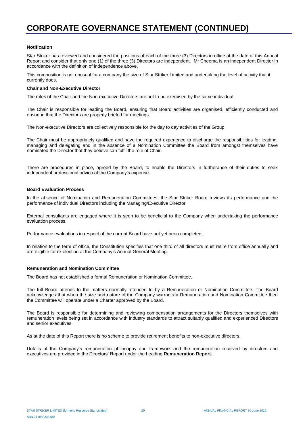#### **Notification**

Star Striker has reviewed and considered the positions of each of the three (3) Directors in office at the date of this Annual Report and consider that only one (1) of the three (3) Directors are independent. Mr Cheema is an independent Director in accordance with the definition of independence above.

This composition is not unusual for a company the size of Star Striker Limited and undertaking the level of activity that it currently does.

#### **Chair and Non-Executive Director**

The roles of the Chair and the Non-executive Directors are not to be exercised by the same individual.

The Chair is responsible for leading the Board, ensuring that Board activities are organised, efficiently conducted and ensuring that the Directors are properly briefed for meetings.

The Non-executive Directors are collectively responsible for the day to day activities of the Group.

The Chair must be appropriately qualified and have the required experience to discharge the responsibilities for leading, managing and delegating and in the absence of a Nomination Committee the Board from amongst themselves have nominated the Director that they believe can fulfil the role of Chair.

There are procedures in place, agreed by the Board, to enable the Directors in furtherance of their duties to seek independent professional advice at the Company's expense.

#### **Board Evaluation Process**

In the absence of Nomination and Remuneration Committees, the Star Striker Board reviews its performance and the performance of individual Directors including the Managing/Executive Director.

External consultants are engaged where it is seen to be beneficial to the Company when undertaking the performance evaluation process.

Performance evaluations in respect of the current Board have not yet been completed.

In relation to the term of office, the Constitution specifies that one third of all directors must retire from office annually and are eligible for re-election at the Company's Annual General Meeting.

#### **Remuneration and Nomination Committee**

The Board has not established a formal Remuneration or Nomination Committee.

The full Board attends to the matters normally attended to by a Remuneration or Nomination Committee. The Board acknowledges that when the size and nature of the Company warrants a Remuneration and Nomination Committee then the Committee will operate under a Charter approved by the Board.

The Board is responsible for determining and reviewing compensation arrangements for the Directors themselves with remuneration levels being set in accordance with industry standards to attract suitably qualified and experienced Directors and senior executives.

As at the date of this Report there is no scheme to provide retirement benefits to non-executive directors.

Details of the Company's remuneration philosophy and framework and the remuneration received by directors and executives are provided in the Directors' Report under the heading **Remuneration Report.**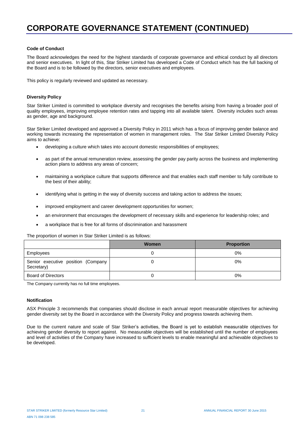## **Code of Conduct**

The Board acknowledges the need for the highest standards of corporate governance and ethical conduct by all directors and senior executives. In light of this, Star Striker Limited has developed a Code of Conduct which has the full backing of the Board and is to be followed by the directors, senior executives and employees.

This policy is regularly reviewed and updated as necessary.

#### **Diversity Policy**

Star Striker Limited is committed to workplace diversity and recognises the benefits arising from having a broader pool of quality employees, improving employee retention rates and tapping into all available talent. Diversity includes such areas as gender, age and background.

Star Striker Limited developed and approved a Diversity Policy in 2011 which has a focus of improving gender balance and working towards increasing the representation of women in management roles. The Star Striker Limited Diversity Policy aims to achieve:

- developing a culture which takes into account domestic responsibilities of employees;
- as part of the annual remuneration review, assessing the gender pay parity across the business and implementing action plans to address any areas of concern;
- maintaining a workplace culture that supports difference and that enables each staff member to fully contribute to the best of their ability;
- identifying what is getting in the way of diversity success and taking action to address the issues;
- improved employment and career development opportunities for women;
- an environment that encourages the development of necessary skills and experience for leadership roles; and
- a workplace that is free for all forms of discrimination and harassment

#### The proportion of women in Star Striker Limited is as follows:

|                                                  | Women | <b>Proportion</b> |
|--------------------------------------------------|-------|-------------------|
| Employees                                        |       | 0%                |
| Senior executive position (Company<br>Secretary) |       | 0%                |
| Board of Directors                               |       | 0%                |

The Company currently has no full time employees.

#### **Notification**

ASX Principle 3 recommends that companies should disclose in each annual report measurable objectives for achieving gender diversity set by the Board in accordance with the Diversity Policy and progress towards achieving them.

Due to the current nature and scale of Star Striker's activities, the Board is yet to establish measurable objectives for achieving gender diversity to report against. No measurable objectives will be established until the number of employees and level of activities of the Company have increased to sufficient levels to enable meaningful and achievable objectives to be developed.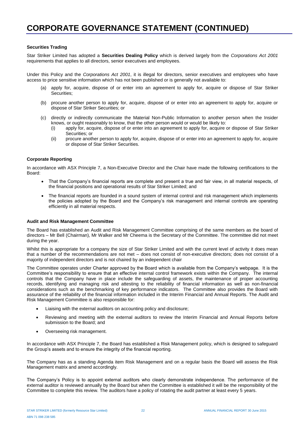#### **Securities Trading**

Star Striker Limited has adopted a **Securities Dealing Policy** which is derived largely from the *Corporations Act 2001*  requirements that applies to all directors, senior executives and employees.

Under this Policy and the *Corporations Act 2001*, it is illegal for directors, senior executives and employees who have access to price sensitive information which has not been published or is generally not available to:

- (a) apply for, acquire, dispose of or enter into an agreement to apply for, acquire or dispose of Star Striker Securities;
- (b) procure another person to apply for, acquire, dispose of or enter into an agreement to apply for, acquire or dispose of Star Striker Securities; or
- (c) directly or indirectly communicate the Material Non-Public Information to another person when the Insider knows, or ought reasonably to know, that the other person would or would be likely to:
	- (i) apply for, acquire, dispose of or enter into an agreement to apply for, acquire or dispose of Star Striker Securities; or
	- (ii) procure another person to apply for, acquire, dispose of or enter into an agreement to apply for, acquire or dispose of Star Striker Securities.

#### **Corporate Reporting**

In accordance with ASX Principle 7, a Non-Executive Director and the Chair have made the following certifications to the Board:

- That the Company's financial reports are complete and present a true and fair view, in all material respects, of the financial positions and operational results of Star Striker Limited; and
- The financial reports are founded in a sound system of internal control and risk management which implements the policies adopted by the Board and the Company's risk management and internal controls are operating efficiently in all material respects.

#### **Audit and Risk Management Committee**

The Board has established an Audit and Risk Management Committee comprising of the same members as the board of directors – Mr Bell (Chairman), Mr Walker and Mr Cheema is the Secretary of the Committee. The committee did not meet during the year.

Whilst this is appropriate for a company the size of Star Striker Limited and with the current level of activity it does mean that a number of the recommendations are not met – does not consist of non-executive directors; does not consist of a majority of independent directors and is not chaired by an independent chair

The Committee operates under Charter approved by the Board which is available from the Company's webpage. It is the Committee's responsibility to ensure that an effective internal control framework exists within the Company. The internal controls that the Company have in place include the safeguarding of assets, the maintenance of proper accounting records, identifying and managing risk and attesting to the reliability of financial information as well as non-financial considerations such as the benchmarking of key performance indicators. The Committee also provides the Board with assurance of the reliability of the financial information included in the Interim Financial and Annual Reports. The Audit and Risk Management Committee is also responsible for:

- Liaising with the external auditors on accounting policy and disclosure;
- Reviewing and meeting with the external auditors to review the Interim Financial and Annual Reports before submission to the Board; and
- Overseeing risk management.

In accordance with ASX Principle 7, the Board has established a Risk Management policy, which is designed to safeguard the Group's assets and to ensure the integrity of the financial reporting.

The Company has as a standing Agenda item Risk Management and on a regular basis the Board will assess the Risk Management matrix and amend accordingly.

The Company's Policy is to appoint external auditors who clearly demonstrate independence. The performance of the external auditor is reviewed annually by the Board but when the Committee is established it will be the responsibility of the Committee to complete this review. The auditors have a policy of rotating the audit partner at least every 5 years.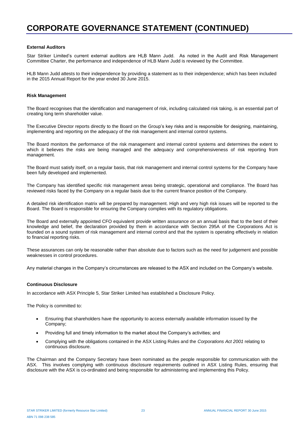#### **External Auditors**

Star Striker Limited's current external auditors are HLB Mann Judd. As noted in the Audit and Risk Management Committee Charter, the performance and independence of HLB Mann Judd is reviewed by the Committee.

HLB Mann Judd attests to their independence by providing a statement as to their independence; which has been included in the 2015 Annual Report for the year ended 30 June 2015.

#### **Risk Management**

The Board recognises that the identification and management of risk, including calculated risk taking, is an essential part of creating long term shareholder value.

The Executive Director reports directly to the Board on the Group's key risks and is responsible for designing, maintaining, implementing and reporting on the adequacy of the risk management and internal control systems.

The Board monitors the performance of the risk management and internal control systems and determines the extent to which it believes the risks are being managed and the adequacy and comprehensiveness of risk reporting from management.

The Board must satisfy itself, on a regular basis, that risk management and internal control systems for the Company have been fully developed and implemented.

The Company has identified specific risk management areas being strategic, operational and compliance. The Board has reviewed risks faced by the Company on a regular basis due to the current finance position of the Company.

A detailed risk identification matrix will be prepared by management. High and very high risk issues will be reported to the Board. The Board is responsible for ensuring the Company complies with its regulatory obligations.

The Board and externally appointed CFO equivalent provide written assurance on an annual basis that to the best of their knowledge and belief, the declaration provided by them in accordance with Section 295A of the Corporations Act is founded on a sound system of risk management and internal control and that the system is operating effectively in relation to financial reporting risks.

These assurances can only be reasonable rather than absolute due to factors such as the need for judgement and possible weaknesses in control procedures.

Any material changes in the Company's circumstances are released to the ASX and included on the Company's website.

#### **Continuous Disclosure**

In accordance with ASX Principle 5, Star Striker Limited has established a Disclosure Policy.

The Policy is committed to:

- Ensuring that shareholders have the opportunity to access externally available information issued by the Company;
- Providing full and timely information to the market about the Company's activities; and
- Complying with the obligations contained in the ASX Listing Rules and the *Corporations Act 2001* relating to continuous disclosure.

The Chairman and the Company Secretary have been nominated as the people responsible for communication with the ASX. This involves complying with continuous disclosure requirements outlined in ASX Listing Rules, ensuring that disclosure with the ASX is co-ordinated and being responsible for administering and implementing this Policy.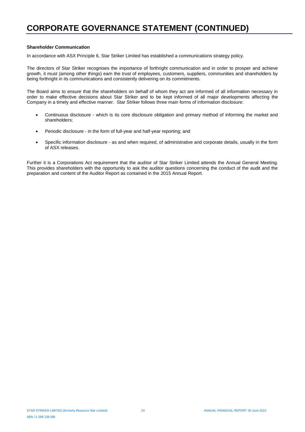### **Shareholder Communication**

In accordance with ASX Principle 6, Star Striker Limited has established a communications strategy policy.

The directors of Star Striker recognises the importance of forthright communication and in order to prosper and achieve growth, it must (among other things) earn the trust of employees, customers, suppliers, communities and shareholders by being forthright in its communications and consistently delivering on its commitments.

The Board aims to ensure that the shareholders on behalf of whom they act are informed of all information necessary in order to make effective decisions about Star Striker and to be kept informed of all major developments affecting the Company in a timely and effective manner. Star Striker follows three main forms of information disclosure:

- Continuous disclosure which is its core disclosure obligation and primary method of informing the market and shareholders;
- Periodic disclosure in the form of full-year and half-year reporting; and
- Specific information disclosure as and when required, of administrative and corporate details, usually in the form of ASX releases.

Further it is a Corporations Act requirement that the auditor of Star Striker Limited attends the Annual General Meeting. This provides shareholders with the opportunity to ask the auditor questions concerning the conduct of the audit and the preparation and content of the Auditor Report as contained in the 2015 Annual Report.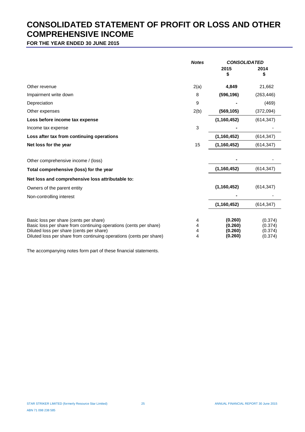# **CONSOLIDATED STATEMENT OF PROFIT OR LOSS AND OTHER COMPREHENSIVE INCOME**

**FOR THE YEAR ENDED 30 JUNE 2015**

|                                                                                                                                                         | <b>Notes</b> | <b>CONSOLIDATED</b>           |                               |
|---------------------------------------------------------------------------------------------------------------------------------------------------------|--------------|-------------------------------|-------------------------------|
|                                                                                                                                                         |              | 2015<br>\$                    | 2014<br>\$                    |
| Other revenue                                                                                                                                           | 2(a)         | 4,849                         | 21,662                        |
| Impairment write down                                                                                                                                   | 8            | (596, 196)                    | (263, 446)                    |
| Depreciation                                                                                                                                            | 9            |                               | (469)                         |
| Other expenses                                                                                                                                          | 2(b)         | (569, 105)                    | (372,094)                     |
| Loss before income tax expense                                                                                                                          |              | (1, 160, 452)                 | (614, 347)                    |
| Income tax expense                                                                                                                                      | 3            |                               |                               |
| Loss after tax from continuing operations                                                                                                               |              | (1, 160, 452)                 | (614, 347)                    |
| Net loss for the year                                                                                                                                   | 15           | (1, 160, 452)                 | (614, 347)                    |
| Other comprehensive income / (loss)                                                                                                                     |              |                               |                               |
| Total comprehensive (loss) for the year                                                                                                                 |              | (1, 160, 452)                 | (614, 347)                    |
| Net loss and comprehensive loss attributable to:                                                                                                        |              |                               |                               |
| Owners of the parent entity                                                                                                                             |              | (1, 160, 452)                 | (614, 347)                    |
| Non-controlling interest                                                                                                                                |              |                               |                               |
|                                                                                                                                                         |              | (1, 160, 452)                 | (614, 347)                    |
| Basic loss per share (cents per share)<br>Basic loss per share from continuing operations (cents per share)<br>Diluted loss per share (cents per share) | 4<br>4<br>4  | (0.260)<br>(0.260)<br>(0.260) | (0.374)<br>(0.374)<br>(0.374) |
| Diluted loss per share from continuing operations (cents per share)                                                                                     | 4            | (0.260)                       | (0.374)                       |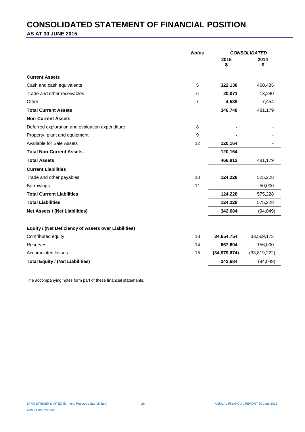# **CONSOLIDATED STATEMENT OF FINANCIAL POSITION**

**AS AT 30 JUNE 2015**

|                                                      | <b>Notes</b>   |                | <b>CONSOLIDATED</b> |
|------------------------------------------------------|----------------|----------------|---------------------|
|                                                      |                | 2015<br>\$     | 2014<br>\$          |
| <b>Current Assets</b>                                |                |                |                     |
| Cash and cash equivalents                            | 5              | 322,138        | 460,485             |
| Trade and other receivables                          | 6              | 20,071         | 13,240              |
| Other                                                | $\overline{7}$ | 4,539          | 7,454               |
| <b>Total Current Assets</b>                          |                | 346,748        | 481,179             |
| <b>Non-Current Assets</b>                            |                |                |                     |
| Deferred exploration and evaluation expenditure      | 8              |                |                     |
| Property, plant and equipment                        | 9              |                |                     |
| <b>Available for Sale Assets</b>                     | 12             | 120,164        |                     |
| <b>Total Non-Current Assets</b>                      |                | 120,164        |                     |
| <b>Total Assets</b>                                  |                | 466,912        | 481,179             |
| <b>Current Liabilities</b>                           |                |                |                     |
| Trade and other payables                             | 10             | 124,228        | 525,228             |
| Borrowings                                           | 11             |                | 50,000              |
| <b>Total Current Liabilities</b>                     |                | 124,228        | 575,228             |
| <b>Total Liabilities</b>                             |                | 124,228        | 575,228             |
| Net Assets / (Net Liabilities)                       |                | 342,684        | (94, 049)           |
| Equity / (Net Deficiency of Assets over Liabilities) |                |                |                     |
| Contributed equity                                   | 13             | 34,654,754     | 33,569,173          |
| Reserves                                             | 14             | 667,604        | 156,000             |
| Accumulated losses                                   | 15             | (34, 979, 674) | (33,819,222)        |
| <b>Total Equity / (Net Liabilities)</b>              |                | 342,684        | (94, 049)           |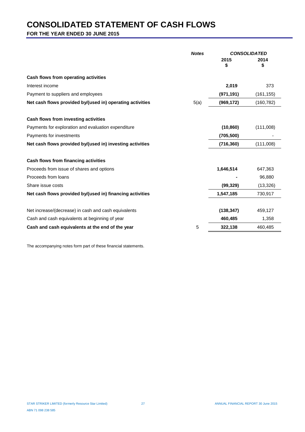# **CONSOLIDATED STATEMENT OF CASH FLOWS**

**FOR THE YEAR ENDED 30 JUNE 2015**

|                                                           | <b>Notes</b> |            | <b>CONSOLIDATED</b> |
|-----------------------------------------------------------|--------------|------------|---------------------|
|                                                           |              | 2015<br>\$ | 2014<br>\$          |
| Cash flows from operating activities                      |              |            |                     |
| Interest income                                           |              | 2,019      | 373                 |
| Payment to suppliers and employees                        |              | (971, 191) | (161, 155)          |
| Net cash flows provided by/(used in) operating activities | 5(a)         | (969, 172) | (160, 782)          |
| Cash flows from investing activities                      |              |            |                     |
| Payments for exploration and evaluation expenditure       |              | (10, 860)  | (111,008)           |
| Payments for investments                                  |              | (705, 500) |                     |
| Net cash flows provided by/(used in) investing activities |              | (716, 360) | (111,008)           |
| Cash flows from financing activities                      |              |            |                     |
| Proceeds from issue of shares and options                 |              | 1,646,514  | 647,363             |
| Proceeds from loans                                       |              |            | 96,880              |
| Share issue costs                                         |              | (99, 329)  | (13, 326)           |
| Net cash flows provided by/(used in) financing activities |              | 1,547,185  | 730,917             |
| Net increase/(decrease) in cash and cash equivalents      |              | (138, 347) | 459,127             |
| Cash and cash equivalents at beginning of year            |              | 460,485    | 1,358               |
| Cash and cash equivalents at the end of the year          | 5            | 322,138    | 460,485             |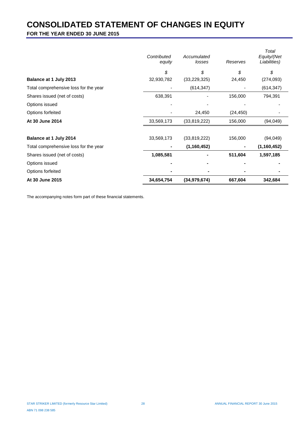# **CONSOLIDATED STATEMENT OF CHANGES IN EQUITY**

**FOR THE YEAR ENDED 30 JUNE 2015**

|                                       | Contributed<br>equity | Accumulated<br>losses | Reserves  | Total<br>Equity/(Net<br>Liabilities) |
|---------------------------------------|-----------------------|-----------------------|-----------|--------------------------------------|
|                                       | \$                    | \$                    | \$        | \$                                   |
| Balance at 1 July 2013                | 32,930,782            | (33, 229, 325)        | 24,450    | (274, 093)                           |
| Total comprehensive loss for the year |                       | (614, 347)            |           | (614, 347)                           |
| Shares issued (net of costs)          | 638,391               |                       | 156,000   | 794,391                              |
| Options issued                        |                       |                       |           |                                      |
| Options forfeited                     |                       | 24,450                | (24, 450) |                                      |
| At 30 June 2014                       | 33,569,173            | (33,819,222)          | 156,000   | (94, 049)                            |
| Balance at 1 July 2014                | 33,569,173            | (33,819,222)          | 156,000   | (94, 049)                            |
| Total comprehensive loss for the year |                       | (1, 160, 452)         |           | (1, 160, 452)                        |
| Shares issued (net of costs)          | 1,085,581             |                       | 511,604   | 1,597,185                            |
| Options issued                        |                       |                       |           |                                      |
| Options forfeited                     |                       |                       |           |                                      |
| At 30 June 2015                       | 34,654,754            | (34, 979, 674)        | 667,604   | 342,684                              |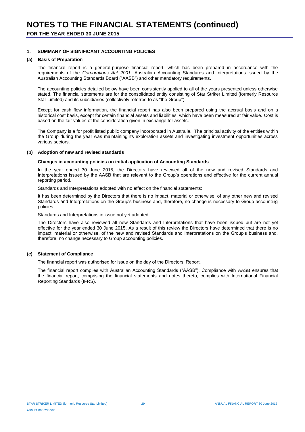#### **1. SUMMARY OF SIGNIFICANT ACCOUNTING POLICIES**

#### **(a) Basis of Preparation**

The financial report is a general-purpose financial report, which has been prepared in accordance with the requirements of the *Corporations Act 2001,* Australian Accounting Standards and Interpretations issued by the Australian Accounting Standards Board ("AASB") and other mandatory requirements.

The accounting policies detailed below have been consistently applied to all of the years presented unless otherwise stated. The financial statements are for the consolidated entity consisting of Star Striker Limited (formerly Resource Star Limited) and its subsidiaries (collectively referred to as "the Group").

Except for cash flow information, the financial report has also been prepared using the accrual basis and on a historical cost basis, except for certain financial assets and liabilities, which have been measured at fair value. Cost is based on the fair values of the consideration given in exchange for assets.

The Company is a for profit listed public company incorporated in Australia. The principal activity of the entities within the Group during the year was maintaining its exploration assets and investigating investment opportunities across various sectors.

#### **(b) Adoption of new and revised standards**

### **Changes in accounting policies on initial application of Accounting Standards**

In the year ended 30 June 2015, the Directors have reviewed all of the new and revised Standards and Interpretations issued by the AASB that are relevant to the Group's operations and effective for the current annual reporting period.

Standards and Interpretations adopted with no effect on the financial statements:

It has been determined by the Directors that there is no impact, material or otherwise, of any other new and revised Standards and Interpretations on the Group's business and, therefore, no change is necessary to Group accounting policies.

Standards and Interpretations in issue not yet adopted:

The Directors have also reviewed all new Standards and Interpretations that have been issued but are not yet effective for the year ended 30 June 2015. As a result of this review the Directors have determined that there is no impact, material or otherwise, of the new and revised Standards and Interpretations on the Group's business and, therefore, no change necessary to Group accounting policies.

#### **(c) Statement of Compliance**

The financial report was authorised for issue on the day of the Directors' Report.

The financial report complies with Australian Accounting Standards ("AASB"). Compliance with AASB ensures that the financial report, comprising the financial statements and notes thereto, complies with International Financial Reporting Standards (IFRS).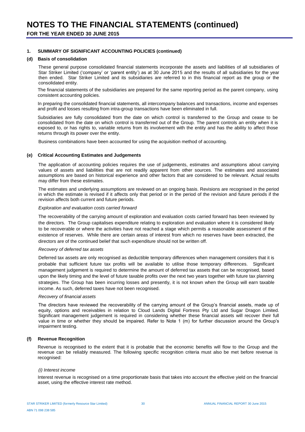### **1. SUMMARY OF SIGNIFICANT ACCOUNTING POLICIES (continued)**

#### **(d) Basis of consolidation**

These general purpose consolidated financial statements incorporate the assets and liabilities of all subsidiaries of Star Striker Limited ('company' or 'parent entity') as at 30 June 2015 and the results of all subsidiaries for the year then ended. Star Striker Limited and its subsidiaries are referred to in this financial report as the group or the consolidated entity.

The financial statements of the subsidiaries are prepared for the same reporting period as the parent company, using consistent accounting policies.

In preparing the consolidated financial statements, all intercompany balances and transactions, income and expenses and profit and losses resulting from intra-group transactions have been eliminated in full.

Subsidiaries are fully consolidated from the date on which control is transferred to the Group and cease to be consolidated from the date on which control is transferred out of the Group. The parent controls an entity when it is exposed to, or has rights to, variable returns from its involvement with the entity and has the ability to affect those returns through its power over the entity.

Business combinations have been accounted for using the acquisition method of accounting.

#### **(e) Critical Accounting Estimates and Judgements**

The application of accounting policies requires the use of judgements, estimates and assumptions about carrying values of assets and liabilities that are not readily apparent from other sources. The estimates and associated assumptions are based on historical experience and other factors that are considered to be relevant. Actual results may differ from these estimates.

The estimates and underlying assumptions are reviewed on an ongoing basis. Revisions are recognised in the period in which the estimate is revised if it affects only that period or in the period of the revision and future periods if the revision affects both current and future periods.

#### *Exploration and evaluation costs carried forward*

The recoverability of the carrying amount of exploration and evaluation costs carried forward has been reviewed by the directors. The Group capitalises expenditure relating to exploration and evaluation where it is considered likely to be recoverable or where the activities have not reached a stage which permits a reasonable assessment of the existence of reserves. While there are certain areas of interest from which no reserves have been extracted, the directors are of the continued belief that such expenditure should not be written off.

#### *Recovery of deferred tax assets*

Deferred tax assets are only recognised as deductible temporary differences when management considers that it is probable that sufficient future tax profits will be available to utilise those temporary differences. Significant management judgement is required to determine the amount of deferred tax assets that can be recognised, based upon the likely timing and the level of future taxable profits over the next two years together with future tax planning strategies. The Group has been incurring losses and presently, it is not known when the Group will earn taxable income. As such, deferred taxes have not been recognised.

#### *Recovery of financial assets*

The directors have reviewed the recoverability of the carrying amount of the Group's financial assets, made up of equity, options and receivables in relation to Cloud Lands Digital Fortress Pty Ltd and Sugar Dragon Limited. Significant management judgement is required in considering whether these financial assets will recover their full value in time or whether they should be impaired. Refer to Note 1 (m) for further discussion around the Group's impairment testing.

#### **(f) Revenue Recognition**

Revenue is recognised to the extent that it is probable that the economic benefits will flow to the Group and the revenue can be reliably measured. The following specific recognition criteria must also be met before revenue is recognised:

#### *(i) Interest income*

Interest revenue is recognised on a time proportionate basis that takes into account the effective yield on the financial asset, using the effective interest rate method.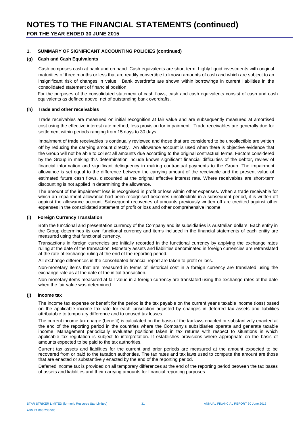# **1. SUMMARY OF SIGNIFICANT ACCOUNTING POLICIES (continued)**

# **(g) Cash and Cash Equivalents**

Cash comprises cash at bank and on hand. Cash equivalents are short term, highly liquid investments with original maturities of three months or less that are readily convertible to known amounts of cash and which are subject to an insignificant risk of changes in value. Bank overdrafts are shown within borrowings in current liabilities in the consolidated statement of financial position.

For the purposes of the consolidated statement of cash flows, cash and cash equivalents consist of cash and cash equivalents as defined above, net of outstanding bank overdrafts.

#### **(h) Trade and other receivables**

Trade receivables are measured on initial recognition at fair value and are subsequently measured at amortised cost using the effective interest rate method, less provision for impairment. Trade receivables are generally due for settlement within periods ranging from 15 days to 30 days.

Impairment of trade receivables is continually reviewed and those that are considered to be uncollectible are written off by reducing the carrying amount directly. An allowance account is used when there is objective evidence that the Group will not be able to collect all amounts due according to the original contractual terms. Factors considered by the Group in making this determination include known significant financial difficulties of the debtor, review of financial information and significant delinquency in making contractual payments to the Group. The impairment allowance is set equal to the difference between the carrying amount of the receivable and the present value of estimated future cash flows, discounted at the original effective interest rate. Where receivables are short-term discounting is not applied in determining the allowance.

The amount of the impairment loss is recognised in profit or loss within other expenses. When a trade receivable for which an impairment allowance had been recognised becomes uncollectible in a subsequent period, it is written off against the allowance account. Subsequent recoveries of amounts previously written off are credited against other expenses in the consolidated statement of profit or loss and other comprehensive income.

#### **(i) Foreign Currency Translation**

Both the functional and presentation currency of the Company and its subsidiaries is Australian dollars. Each entity in the Group determines its own functional currency and items included in the financial statements of each entity are measured using that functional currency.

Transactions in foreign currencies are initially recorded in the functional currency by applying the exchange rates ruling at the date of the transaction. Monetary assets and liabilities denominated in foreign currencies are retranslated at the rate of exchange ruling at the end of the reporting period.

All exchange differences in the consolidated financial report are taken to profit or loss.

Non-monetary items that are measured in terms of historical cost in a foreign currency are translated using the exchange rate as at the date of the initial transaction.

Non-monetary items measured at fair value in a foreign currency are translated using the exchange rates at the date when the fair value was determined.

#### **(j) Income tax**

The income tax expense or benefit for the period is the tax payable on the current year's taxable income (loss) based on the applicable income tax rate for each jurisdiction adjusted by changes in deferred tax assets and liabilities attributable to temporary difference and to unused tax losses.

The current income tax charge (benefit) is calculated on the basis of the tax laws enacted or substantively enacted at the end of the reporting period in the countries where the Company's subsidiaries operate and generate taxable income. Management periodically evaluates positions taken in tax returns with respect to situations in which applicable tax regulation is subject to interpretation. It establishes provisions where appropriate on the basis of amounts expected to be paid to the tax authorities.

Current tax assets and liabilities for the current and prior periods are measured at the amount expected to be recovered from or paid to the taxation authorities. The tax rates and tax laws used to compute the amount are those that are enacted or substantively enacted by the end of the reporting period.

Deferred income tax is provided on all temporary differences at the end of the reporting period between the tax bases of assets and liabilities and their carrying amounts for financial reporting purposes.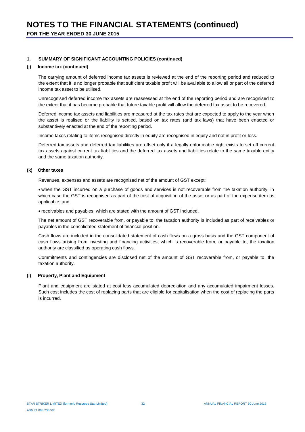### **1. SUMMARY OF SIGNIFICANT ACCOUNTING POLICIES (continued)**

#### **(j) Income tax (continued)**

The carrying amount of deferred income tax assets is reviewed at the end of the reporting period and reduced to the extent that it is no longer probable that sufficient taxable profit will be available to allow all or part of the deferred income tax asset to be utilised.

Unrecognised deferred income tax assets are reassessed at the end of the reporting period and are recognised to the extent that it has become probable that future taxable profit will allow the deferred tax asset to be recovered.

Deferred income tax assets and liabilities are measured at the tax rates that are expected to apply to the year when the asset is realised or the liability is settled, based on tax rates (and tax laws) that have been enacted or substantively enacted at the end of the reporting period.

Income taxes relating to items recognised directly in equity are recognised in equity and not in profit or loss.

Deferred tax assets and deferred tax liabilities are offset only if a legally enforceable right exists to set off current tax assets against current tax liabilities and the deferred tax assets and liabilities relate to the same taxable entity and the same taxation authority.

#### **(k) Other taxes**

Revenues, expenses and assets are recognised net of the amount of GST except:

 when the GST incurred on a purchase of goods and services is not recoverable from the taxation authority, in which case the GST is recognised as part of the cost of acquisition of the asset or as part of the expense item as applicable; and

receivables and payables, which are stated with the amount of GST included.

The net amount of GST recoverable from, or payable to, the taxation authority is included as part of receivables or payables in the consolidated statement of financial position.

Cash flows are included in the consolidated statement of cash flows on a gross basis and the GST component of cash flows arising from investing and financing activities, which is recoverable from, or payable to, the taxation authority are classified as operating cash flows.

Commitments and contingencies are disclosed net of the amount of GST recoverable from, or payable to, the taxation authority.

#### **(l) Property, Plant and Equipment**

Plant and equipment are stated at cost less accumulated depreciation and any accumulated impairment losses. Such cost includes the cost of replacing parts that are eligible for capitalisation when the cost of replacing the parts is incurred.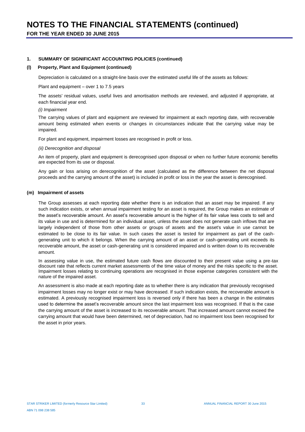**FOR THE YEAR ENDED 30 JUNE 2015**

#### **1. SUMMARY OF SIGNIFICANT ACCOUNTING POLICIES (continued)**

#### **(l) Property, Plant and Equipment (continued)**

Depreciation is calculated on a straight-line basis over the estimated useful life of the assets as follows:

#### Plant and equipment – over 1 to 7.5 years

The assets' residual values, useful lives and amortisation methods are reviewed, and adjusted if appropriate, at each financial year end.

#### *(i) Impairment*

The carrying values of plant and equipment are reviewed for impairment at each reporting date, with recoverable amount being estimated when events or changes in circumstances indicate that the carrying value may be impaired.

For plant and equipment, impairment losses are recognised in profit or loss.

#### *(ii) Derecognition and disposal*

An item of property, plant and equipment is derecognised upon disposal or when no further future economic benefits are expected from its use or disposal.

Any gain or loss arising on derecognition of the asset (calculated as the difference between the net disposal proceeds and the carrying amount of the asset) is included in profit or loss in the year the asset is derecognised.

#### **(m) Impairment of assets**

The Group assesses at each reporting date whether there is an indication that an asset may be impaired. If any such indication exists, or when annual impairment testing for an asset is required, the Group makes an estimate of the asset's recoverable amount. An asset's recoverable amount is the higher of its fair value less costs to sell and its value in use and is determined for an individual asset, unless the asset does not generate cash inflows that are largely independent of those from other assets or groups of assets and the asset's value in use cannot be estimated to be close to its fair value. In such cases the asset is tested for impairment as part of the cashgenerating unit to which it belongs. When the carrying amount of an asset or cash-generating unit exceeds its recoverable amount, the asset or cash-generating unit is considered impaired and is written down to its recoverable amount.

In assessing value in use, the estimated future cash flows are discounted to their present value using a pre-tax discount rate that reflects current market assessments of the time value of money and the risks specific to the asset. Impairment losses relating to continuing operations are recognised in those expense categories consistent with the nature of the impaired asset.

An assessment is also made at each reporting date as to whether there is any indication that previously recognised impairment losses may no longer exist or may have decreased. If such indication exists, the recoverable amount is estimated. A previously recognised impairment loss is reversed only if there has been a change in the estimates used to determine the asset's recoverable amount since the last impairment loss was recognised. If that is the case the carrying amount of the asset is increased to its recoverable amount. That increased amount cannot exceed the carrying amount that would have been determined, net of depreciation, had no impairment loss been recognised for the asset in prior years.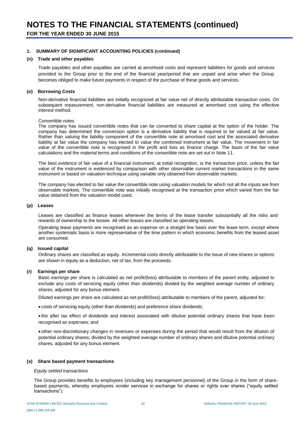# **1. SUMMARY OF SIGNIFICANT ACCOUNTING POLICIES (continued)**

# **(n) Trade and other payables**

Trade payables and other payables are carried at amortised costs and represent liabilities for goods and services provided to the Group prior to the end of the financial year/period that are unpaid and arise when the Group becomes obliged to make future payments in respect of the purchase of these goods and services.

### **(o) Borrowing Costs**

Non-derivative financial liabilities are initially recognized at fair value net of directly attributable transaction costs. On subsequent measurement, non-derivative financial liabilities are measured at amortised cost using the effective interest method.

#### Convertible notes

The company has issued convertible notes that can be converted to share capital at the option of the holder. The company has determined the conversion option is a derivative liability that is required to be valued at fair value. Rather than valuing the liability component of the convertible note at amortised cost and the associated derivative liability at fair value the company has elected to value the combined instrument at fair value. The movement in fair value of the convertible note is recognised in the profit and loss as finance charge. The basis of the fair value calculations and the material terms and conditions of the convertible note are set out in Note 11.

The best evidence of fair value of a financial instrument, at initial recognition, is the transaction price, unless the fair value of the instrument is evidenced by comparison with other observable current market transactions in the same instrument or based on valuation technique using variable only obtained from observable markets.

The company has elected to fair value the convertible note using valuation models for which not all the inputs are from observable markets. The convertible note was initially recognised at the transaction price which varied from the fair value obtained from the valuation model used.

#### **(p) Leases**

Leases are classified as finance leases whenever the terms of the lease transfer substantially all the risks and rewards of ownership to the lessee. All other leases are classified as operating leases.

Operating lease payments are recognised as an expense on a straight line basis over the lease term, except where another systematic basis is more representative of the time pattern in which economic benefits from the leased asset are consumed.

# **(q) Issued capital**

Ordinary shares are classified as equity. Incremental costs directly attributable to the issue of new shares or options are shown in equity as a deduction, net of tax, from the proceeds.

# **(r) Earnings per share**

Basic earnings per share is calculated as net profit/(loss) attributable to members of the parent entity, adjusted to exclude any costs of servicing equity (other than dividends) divided by the weighted average number of ordinary shares, adjusted for any bonus element.

Diluted earnings per share are calculated as net profit/(loss) attributable to members of the parent, adjusted for:

costs of servicing equity (other than dividends) and preference share dividends;

 the after tax effect of dividends and interest associated with dilutive potential ordinary shares that have been recognised as expenses; and

 other non-discretionary changes in revenues or expenses during the period that would result from the dilution of potential ordinary shares; divided by the weighted average number of ordinary shares and dilutive potential ordinary shares, adjusted for any bonus element.

# **(s) Share based payment transactions**

#### *Equity settled transactions*

The Group provides benefits to employees (including key management personnel) of the Group in the form of sharebased payments, whereby employees render services in exchange for shares or rights over shares ("equity settled transactions").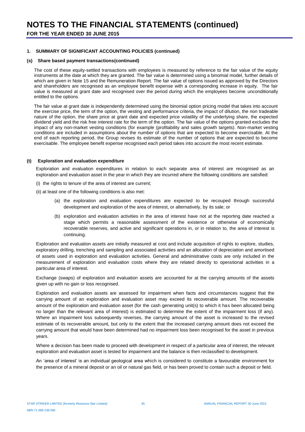# **1. SUMMARY OF SIGNIFICANT ACCOUNTING POLICIES (continued)**

#### **(s) Share based payment transactions(continued)**

The cost of these equity-settled transactions with employees is measured by reference to the fair value of the equity instruments at the date at which they are granted. The fair value is determined using a binomial model, further details of which are given in Note 15 and the Remuneration Report. The fair value of options issued as approved by the Directors and shareholders are recognised as an employee benefit expense with a corresponding increase in equity. The fair value is measured at grant date and recognised over the period during which the employees become unconditionally entitled to the options.

The fair value at grant date is independently determined using the binomial option pricing model that takes into account the exercise price, the term of the option, the vesting and performance criteria, the impact of dilution, the non tradeable nature of the option, the share price at grant date and expected price volatility of the underlying share, the expected dividend yield and the risk free interest rate for the term of the option. The fair value of the options granted excludes the impact of any non-market vesting conditions (for example (profitability and sales growth targets). Non-market vesting conditions are included in assumptions about the number of options that are expected to become exercisable. At the end of each reporting period, the Group revises its estimate of the number of options that are expected to become exercisable. The employee benefit expense recognised each period takes into account the most recent estimate.

#### **(t) Exploration and evaluation expenditure**

Exploration and evaluation expenditures in relation to each separate area of interest are recognised as an exploration and evaluation asset in the year in which they are incurred where the following conditions are satisfied:

(i) the rights to tenure of the area of interest are current;

(ii) at least one of the following conditions is also met:

- (a) the exploration and evaluation expenditures are expected to be recouped through successful development and exploration of the area of interest, or alternatively, by its sale; or
- (b) exploration and evaluation activities in the area of interest have not at the reporting date reached a stage which permits a reasonable assessment of the existence or otherwise of economically recoverable reserves, and active and significant operations in, or in relation to, the area of interest is continuing.

Exploration and evaluation assets are initially measured at cost and include acquisition of rights to explore, studies, exploratory drilling, trenching and sampling and associated activities and an allocation of depreciation and amortised of assets used in exploration and evaluation activities. General and administrative costs are only included in the measurement of exploration and evaluation costs where they are related directly to operational activities in a particular area of interest.

Exchange (swaps) of exploration and evaluation assets are accounted for at the carrying amounts of the assets given up with no gain or loss recognised.

Exploration and evaluation assets are assessed for impairment when facts and circumstances suggest that the carrying amount of an exploration and evaluation asset may exceed its recoverable amount. The recoverable amount of the exploration and evaluation asset (for the cash generating unit(s) to which it has been allocated being no larger than the relevant area of interest) is estimated to determine the extent of the impairment loss (if any). Where an impairment loss subsequently reverses, the carrying amount of the asset is increased to the revised estimate of its recoverable amount, but only to the extent that the increased carrying amount does not exceed the carrying amount that would have been determined had no impairment loss been recognised for the asset in previous years.

Where a decision has been made to proceed with development in respect of a particular area of interest, the relevant exploration and evaluation asset is tested for impairment and the balance is then reclassified to development.

An 'area of interest' is an individual geological area which is considered to constitute a favourable environment for the presence of a mineral deposit or an oil or natural gas field, or has been proved to contain such a deposit or field.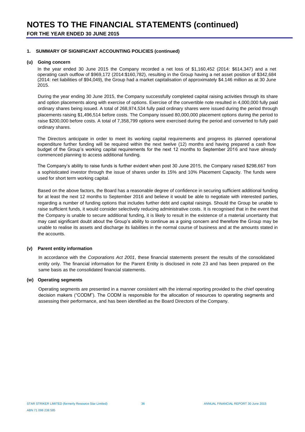# **1. SUMMARY OF SIGNIFICANT ACCOUNTING POLICIES (continued)**

### **(u) Going concern**

In the year ended 30 June 2015 the Company recorded a net loss of \$1,160,452 (2014: \$614,347) and a net operating cash outflow of \$969,172 (2014:\$160,782), resulting in the Group having a net asset position of \$342,684 (2014: net liabilities of \$94,049), the Group had a market capitalisation of approximately \$4.146 million as at 30 June 2015.

During the year ending 30 June 2015, the Company successfully completed capital raising activities through its share and option placements along with exercise of options. Exercise of the convertible note resulted in 4,000,000 fully paid ordinary shares being issued. A total of 268,974,534 fully paid ordinary shares were issued during the period through placements raising \$1,496,514 before costs. The Company issued 80,000,000 placement options during the period to raise \$200,000 before costs. A total of 7,358,799 options were exercised during the period and converted to fully paid ordinary shares.

The Directors anticipate in order to meet its working capital requirements and progress its planned operational expenditure further funding will be required within the next twelve (12) months and having prepared a cash flow budget of the Group's working capital requirements for the next 12 months to September 2016 and have already commenced planning to access additional funding.

The Company's ability to raise funds is further evident when post 30 June 2015, the Company raised \$298,667 from a sophisticated investor through the issue of shares under its 15% and 10% Placement Capacity. The funds were used for short term working capital.

Based on the above factors, the Board has a reasonable degree of confidence in securing sufficient additional funding for at least the next 12 months to September 2016 and believe it would be able to negotiate with interested parties, regarding a number of funding options that includes further debt and capital raisings. Should the Group be unable to raise sufficient funds, it would consider selectively reducing administrative costs. It is recognised that in the event that the Company is unable to secure additional funding, it is likely to result in the existence of a material uncertainty that may cast significant doubt about the Group's ability to continue as a going concern and therefore the Group may be unable to realise its assets and discharge its liabilities in the normal course of business and at the amounts stated in the accounts.

# **(v) Parent entity information**

In accordance with the *Corporations Act 2001*, these financial statements present the results of the consolidated entity only. The financial information for the Parent Entity is disclosed in note 23 and has been prepared on the same basis as the consolidated financial statements.

# **(w) Operating segments**

Operating segments are presented in a manner consistent with the internal reporting provided to the chief operating decision makers ("CODM"). The CODM is responsible for the allocation of resources to operating segments and assessing their performance, and has been identified as the Board Directors of the Company.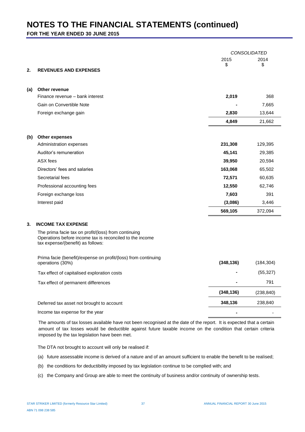**FOR THE YEAR ENDED 30 JUNE 2015**

|     |                                                                                                                                                       | <b>CONSOLIDATED</b> |            |
|-----|-------------------------------------------------------------------------------------------------------------------------------------------------------|---------------------|------------|
|     |                                                                                                                                                       | 2015                | 2014       |
| 2.  | <b>REVENUES AND EXPENSES</b>                                                                                                                          | \$                  | \$         |
|     |                                                                                                                                                       |                     |            |
| (a) | <b>Other revenue</b>                                                                                                                                  |                     |            |
|     | Finance revenue – bank interest                                                                                                                       | 2,019               | 368        |
|     | Gain on Convertible Note                                                                                                                              |                     | 7,665      |
|     | Foreign exchange gain                                                                                                                                 | 2,830               | 13,644     |
|     |                                                                                                                                                       | 4,849               | 21,662     |
| (b) | <b>Other expenses</b>                                                                                                                                 |                     |            |
|     | Administration expenses                                                                                                                               | 231,308             | 129,395    |
|     | Auditor's remuneration                                                                                                                                | 45,141              | 29,385     |
|     | ASX fees                                                                                                                                              | 39,950              | 20,594     |
|     | Directors' fees and salaries                                                                                                                          | 163,068             | 65,502     |
|     | Secretarial fees                                                                                                                                      | 72,571              | 60,635     |
|     | Professional accounting fees                                                                                                                          | 12,550              | 62,746     |
|     | Foreign exchange loss                                                                                                                                 | 7,603               | 391        |
|     | Interest paid                                                                                                                                         | (3,086)             | 3,446      |
|     |                                                                                                                                                       | 569,105             | 372,094    |
| 3.  | <b>INCOME TAX EXPENSE</b>                                                                                                                             |                     |            |
|     | The prima facie tax on profit/(loss) from continuing<br>Operations before income tax is reconciled to the income<br>tax expense/(benefit) as follows: |                     |            |
|     | Prima facie (benefit)/expense on profit/(loss) from continuing<br>operations (30%)                                                                    | (348, 136)          | (184, 304) |
|     | Tax effect of capitalised exploration costs                                                                                                           |                     | (55, 327)  |
|     | Tax effect of permanent differences                                                                                                                   |                     | 791        |
|     |                                                                                                                                                       | (348, 136)          | (238, 840) |
|     | Deferred tax asset not brought to account                                                                                                             | 348,136             | 238,840    |
|     | Income tax expense for the year                                                                                                                       |                     |            |

The amounts of tax losses available have not been recognised at the date of the report. It is expected that a certain amount of tax losses would be deductible against future taxable income on the condition that certain criteria imposed by the tax legislation have been met.

The DTA not brought to account will only be realised if:

(a) future assessable income is derived of a nature and of an amount sufficient to enable the benefit to be realised;

- (b) the conditions for deductibility imposed by tax legislation continue to be complied with; and
- (c) the Company and Group are able to meet the continuity of business and/or continuity of ownership tests.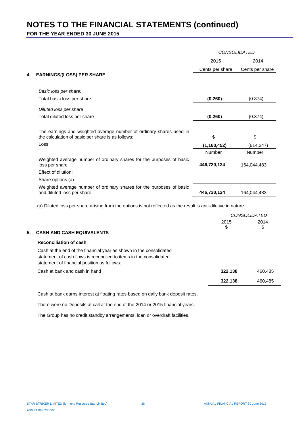**FOR THE YEAR ENDED 30 JUNE 2015**

|    |                                                                                                                          | <b>CONSOLIDATED</b> |                 |
|----|--------------------------------------------------------------------------------------------------------------------------|---------------------|-----------------|
|    |                                                                                                                          | 2015                | 2014            |
|    |                                                                                                                          | Cents per share     | Cents per share |
| 4. | <b>EARNINGS/(LOSS) PER SHARE</b>                                                                                         |                     |                 |
|    | Basic loss per share:                                                                                                    |                     |                 |
|    |                                                                                                                          |                     |                 |
|    | Total basic loss per share                                                                                               | (0.260)             | (0.374)         |
|    | Diluted loss per share                                                                                                   |                     |                 |
|    | Total diluted loss per share                                                                                             | (0.260)             | (0.374)         |
|    | The earnings and weighted average number of ordinary shares used in<br>the calculation of basic per share is as follows: | \$                  | \$              |
|    | Loss                                                                                                                     | (1, 160, 452)       | (614, 347)      |
|    |                                                                                                                          | Number              | Number          |
|    | Weighted average number of ordinary shares for the purposes of basic<br>loss per share                                   | 446,720,124         | 164,044,483     |
|    | Effect of dilution:                                                                                                      |                     |                 |
|    | Share options (a)                                                                                                        |                     |                 |
|    | Weighted average number of ordinary shares for the purposes of basic<br>and diluted loss per share                       | 446,720,124         | 164.044.483     |
|    |                                                                                                                          |                     |                 |

(a) Diluted loss per share arising from the options is not reflected as the result is anti-dilutive in nature.

|                                                                                                                                                                                         |            | <i>CONSOLIDATED</i> |
|-----------------------------------------------------------------------------------------------------------------------------------------------------------------------------------------|------------|---------------------|
| 5.    CASH AND CASH EQUIVALENTS                                                                                                                                                         | 2015<br>\$ | 2014<br>\$          |
| <b>Reconciliation of cash</b>                                                                                                                                                           |            |                     |
| Cash at the end of the financial year as shown in the consolidated<br>statement of cash flows is reconciled to items in the consolidated<br>statement of financial position as follows: |            |                     |
| Cash at bank and cash in hand                                                                                                                                                           | 322,138    | 460,485             |
|                                                                                                                                                                                         | 322,138    | 460.485             |
|                                                                                                                                                                                         |            |                     |

Cash at bank earns interest at floating rates based on daily bank deposit rates.

There were no Deposits at call at the end of the 2014 or 2015 financial years.

The Group has no credit standby arrangements, loan or overdraft facilities.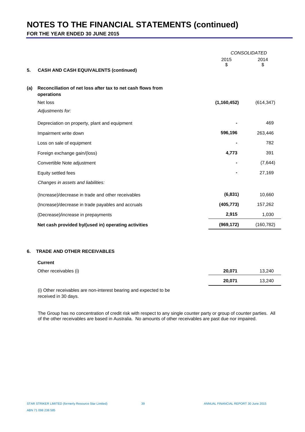**FOR THE YEAR ENDED 30 JUNE 2015**

|     |                                                                           | <b>CONSOLIDATED</b> |            |
|-----|---------------------------------------------------------------------------|---------------------|------------|
|     |                                                                           | 2015                | 2014       |
| 5.  | <b>CASH AND CASH EQUIVALENTS (continued)</b>                              | \$                  | \$         |
|     |                                                                           |                     |            |
| (a) | Reconciliation of net loss after tax to net cash flows from<br>operations |                     |            |
|     | Net loss                                                                  | (1, 160, 452)       | (614, 347) |
|     | Adjustments for:                                                          |                     |            |
|     | Depreciation on property, plant and equipment                             |                     | 469        |
|     | Impairment write down                                                     | 596,196             | 263,446    |
|     | Loss on sale of equipment                                                 |                     | 782        |
|     | Foreign exchange gain/(loss)                                              | 4,773               | 391        |
|     | Convertible Note adjustment                                               |                     | (7,644)    |
|     | Equity settled fees                                                       |                     | 27,169     |
|     | Changes in assets and liabilities:                                        |                     |            |
|     | (Increase)/decrease in trade and other receivables                        | (6, 831)            | 10,660     |
|     | (Increase)/decrease in trade payables and accruals                        | (405, 773)          | 157,262    |
|     | (Decrease)/increase in prepayments                                        | 2,915               | 1,030      |
|     | Net cash provided by/(used in) operating activities                       | (969, 172)          | (160, 782) |
|     |                                                                           |                     |            |
|     |                                                                           |                     |            |
|     | TRADE AND OTHER RECEIVABL                                                 |                     |            |

# **6. TRADE AND OTHER RECEIVABLES**

**Current**

| <b>Current</b>        |        |        |
|-----------------------|--------|--------|
| Other receivables (i) | 20.071 | 13,240 |
|                       | 20,071 | 13,240 |
|                       |        |        |

(i) Other receivables are non-interest bearing and expected to be received in 30 days.

The Group has no concentration of credit risk with respect to any single counter party or group of counter parties. All of the other receivables are based in Australia. No amounts of other receivables are past due nor impaired.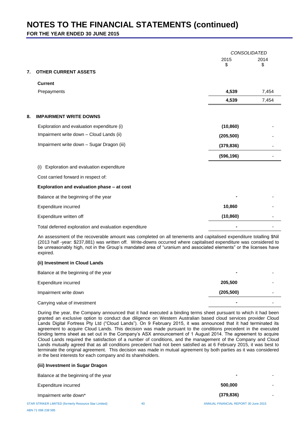**FOR THE YEAR ENDED 30 JUNE 2015**

|    |                                                       |            | <b>CONSOLIDATED</b> |
|----|-------------------------------------------------------|------------|---------------------|
|    |                                                       | 2015       | 2014                |
| 7. | <b>OTHER CURRENT ASSETS</b>                           | \$         | \$                  |
|    | <b>Current</b>                                        |            |                     |
|    | Prepayments                                           | 4,539      | 7,454               |
|    |                                                       | 4,539      | 7,454               |
| 8. | <b>IMPAIRMENT WRITE DOWNS</b>                         |            |                     |
|    | Exploration and evaluation expenditure (i)            | (10, 860)  |                     |
|    | Impairment write down - Cloud Lands (ii)              | (205, 500) |                     |
|    | Impairment write down - Sugar Dragon (iii)            | (379, 836) |                     |
|    |                                                       | (596, 196) |                     |
|    | Exploration and evaluation expenditure<br>(i)         |            |                     |
|    | Cost carried forward in respect of:                   |            |                     |
|    | Exploration and evaluation phase - at cost            |            |                     |
|    | Balance at the beginning of the year                  |            |                     |
|    | Expenditure incurred                                  | 10,860     |                     |
|    | Expenditure written off                               | (10, 860)  |                     |
|    | Total deferred exploration and evaluation expenditure |            |                     |

An assessment of the recoverable amount was completed on all tenements and capitalised expenditure totalling \$Nil (2013 half -year: \$237,881) was written off. Write-downs occurred where capitalised expenditure was considered to be unreasonably high, not in the Group's mandated area of "uranium and associated elements" or the licenses have expired.

#### **(ii) Investment in Cloud Lands**

| Balance at the beginning of the year |                |  |
|--------------------------------------|----------------|--|
| Expenditure incurred                 | 205,500        |  |
| Impairment write down                | (205, 500)     |  |
| Carrying value of investment         | $\blacksquare$ |  |

During the year, the Company announced that it had executed a binding terms sheet pursuant to which it had been granted an exclusive option to conduct due diligence on Western Australian based cloud services provider Cloud Lands Digital Fortress Pty Ltd ("Cloud Lands"). On 9 February 2015, it was announced that it had terminated its agreement to acquire Cloud Lands. This decision was made pursuant to the conditions precedent in the executed binding terms sheet as set out in the Company's ASX announcement of 1 August 2014. The agreement to acquire Cloud Lands required the satisfaction of a number of conditions, and the management of the Company and Cloud Lands mutually agreed that as all conditions precedent had not been satisfied as at 6 February 2015, it was best to terminate the original agreement. This decision was made in mutual agreement by both parties as it was considered in the best interests for each company and its shareholders.

#### **(iii) Investment in Sugar Dragon**

ABN 71 098 238 585

| Balance at the beginning of the year                         |    |                                      | $\overline{\phantom{0}}$ |
|--------------------------------------------------------------|----|--------------------------------------|--------------------------|
| Expenditure incurred                                         |    | 500,000                              | $\overline{\phantom{0}}$ |
| Impairment write down*                                       |    | (379, 836)                           |                          |
| <b>STAR STRIKER LIMITED (formerly Resource Star Limited)</b> | 40 | ANNUAL FINANCIAL REPORT 30 June 2015 |                          |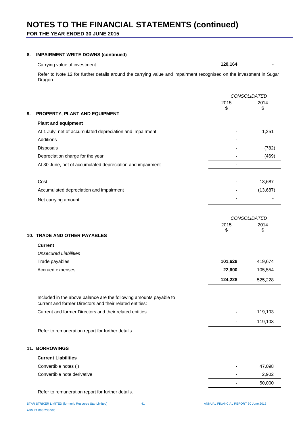**FOR THE YEAR ENDED 30 JUNE 2015**

# **8. IMPAIRMENT WRITE DOWNS (continued)**

Carrying value of investment **120,164** and the set of investment **120,164** and the set of investment **120,164** 

Refer to Note 12 for further details around the carrying value and impairment recognised on the investment in Sugar Dragon.

|    |                                                                    |         | CONSOLIDATED |
|----|--------------------------------------------------------------------|---------|--------------|
|    |                                                                    | 2015    | 2014         |
| 9. | PROPERTY, PLANT AND EQUIPMENT                                      | \$      | \$           |
|    |                                                                    |         |              |
|    | <b>Plant and equipment</b>                                         |         |              |
|    | At 1 July, net of accumulated depreciation and impairment          |         | 1,251        |
|    | Additions                                                          |         |              |
|    | Disposals                                                          |         | (782)        |
|    | Depreciation charge for the year                                   |         | (469)        |
|    | At 30 June, net of accumulated depreciation and impairment         |         |              |
|    |                                                                    |         |              |
|    | Cost                                                               |         | 13,687       |
|    | Accumulated depreciation and impairment                            |         | (13, 687)    |
|    | Net carrying amount                                                |         |              |
|    |                                                                    |         |              |
|    |                                                                    |         | CONSOLIDATED |
|    |                                                                    | 2015    | 2014         |
|    | 10. TRADE AND OTHER PAYABLES                                       | \$      | \$           |
|    |                                                                    |         |              |
|    | <b>Current</b>                                                     |         |              |
|    | <b>Unsecured Liabilities</b>                                       |         |              |
|    | Trade payables                                                     | 101,628 | 419,674      |
|    | Accrued expenses                                                   | 22,600  | 105,554      |
|    |                                                                    | 124,228 | 525,228      |
|    |                                                                    |         |              |
|    | Included in the above balance are the following amounts payable to |         |              |
|    | current and former Directors and their related entities:           |         |              |
|    | Current and former Directors and their related entities            |         | 119,103      |
|    |                                                                    |         | 119,103      |
|    | Refer to remuneration report for further details.                  |         |              |
|    |                                                                    |         |              |
|    | 11. BORROWINGS                                                     |         |              |
|    |                                                                    |         |              |
|    | <b>Current Liabilities</b>                                         |         |              |
|    | Convertible notes (i)                                              |         | 47,098       |
|    | Convertible note derivative                                        |         | 2,902        |
|    |                                                                    |         | 50,000       |

Refer to remuneration report for further details.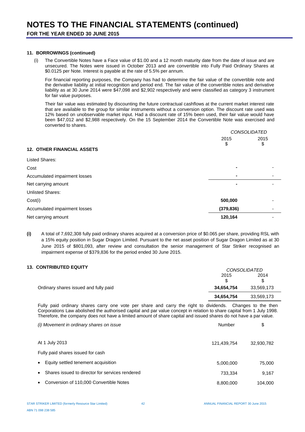#### **11. BORROWINGS (continued)**

(i) The Convertible Notes have a Face value of \$1.00 and a 12 month maturity date from the date of issue and are unsecured. The Notes were issued in October 2013 and are convertible into Fully Paid Ordinary Shares at \$0.0125 per Note. Interest is payable at the rate of 5.5% per annum.

For financial reporting purposes, the Company has had to determine the fair value of the convertible note and the derivative liability at initial recognition and period end. The fair value of the convertible notes and derivative liability as at 30 June 2014 were \$47,098 and \$2,902 respectively and were classified as category 3 instrument for fair value purposes.

Their fair value was estimated by discounting the future contractual cashflows at the current market interest rate that are available to the group for similar instruments without a conversion option. The discount rate used was 12% based on unobservable market input. Had a discount rate of 15% been used, their fair value would have been \$47,012 and \$2,988 respectively. On the 15 September 2014 the Convertible Note was exercised and converted to shares.

|                                   | <b>CONSOLIDATED</b> |      |
|-----------------------------------|---------------------|------|
|                                   | 2015                | 2015 |
| <b>12. OTHER FINANCIAL ASSETS</b> | \$                  | \$   |
| <b>Listed Shares:</b>             |                     |      |
| Cost                              |                     |      |
| Accumulated impairment losses     |                     | ٠    |
| Net carrying amount               |                     | ۰    |
| <b>Unlisted Shares:</b>           |                     |      |
| Cost(i)                           | 500,000             |      |
| Accumulated impairment losses     | (379, 836)          | ٠    |
| Net carrying amount               | 120,164             |      |

# **(i)** A total of 7,692,308 fully paid ordinary shares acquired at a conversion price of \$0.065 per share, providing RSL with a 15% equity position in Sugar Dragon Limited. Pursuant to the net asset position of Sugar Dragon Limited as at 30 June 2015 of \$801,093, after review and consultation the senior management of Star Striker recognised an impairment expense of \$379,836 for the period ended 30 June 2015.

# **13. CONTRIBUTED EQUITY** *CONSOLIDATED*

|                                       |            | <b>UUINOULIDATED</b> |
|---------------------------------------|------------|----------------------|
|                                       | 2015       | 2014                 |
|                                       | \$         | \$                   |
| Ordinary shares issued and fully paid | 34,654,754 | 33,569,173           |
|                                       | 34,654,754 | 33,569,173           |

Fully paid ordinary shares carry one vote per share and carry the right to dividends. Changes to the then Corporations Law abolished the authorised capital and par value concept in relation to share capital from 1 July 1998. Therefore, the company does not have a limited amount of share capital and issued shares do not have a par value.

| (i) Movement in ordinary shares on issue                     | Number      | \$         |
|--------------------------------------------------------------|-------------|------------|
| At 1 July 2013                                               | 121,439,754 | 32,930,782 |
| Fully paid shares issued for cash                            |             |            |
| Equity settled tenement acquisition                          | 5,000,000   | 75,000     |
| Shares issued to director for services rendered<br>$\bullet$ | 733.334     | 9.167      |
| Conversion of 110,000 Convertible Notes                      | 8,800,000   | 104.000    |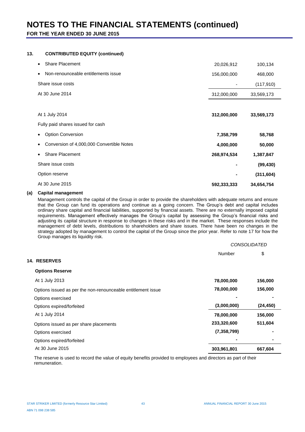# **13. CONTRIBUTED EQUITY (continued)**

| <b>Share Placement</b>                    | 20,026,912  | 100,134    |
|-------------------------------------------|-------------|------------|
| Non-renounceable entitlements issue       | 156,000,000 | 468,000    |
| Share issue costs                         |             | (117, 910) |
| At 30 June 2014                           | 312,000,000 | 33,569,173 |
|                                           |             |            |
| At 1 July 2014                            | 312,000,000 | 33,569,173 |
| Fully paid shares issued for cash         |             |            |
| <b>Option Conversion</b>                  | 7,358,799   | 58,768     |
| Conversion of 4,000,000 Convertible Notes | 4,000,000   | 50,000     |
| <b>Share Placement</b>                    | 268,974,534 | 1,387,847  |
| Share issue costs                         |             | (99, 430)  |
| Option reserve                            |             | (311, 604) |
| At 30 June 2015                           | 592,333,333 | 34,654,754 |

# **(a) Capital management**

Management controls the capital of the Group in order to provide the shareholders with adequate returns and ensure that the Group can fund its operations and continue as a going concern. The Group's debt and capital includes ordinary share capital and financial liabilities, supported by financial assets. There are no externally imposed capital requirements. Management effectively manages the Group's capital by assessing the Group's financial risks and adjusting its capital structure in response to changes in these risks and in the market. These responses include the management of debt levels, distributions to shareholders and share issues. There have been no changes in the strategy adopted by management to control the capital of the Group since the prior year. Refer to note 17 for how the Group manages its liquidity risk.

|                                                              |               | <b>CONSOLIDATED</b> |
|--------------------------------------------------------------|---------------|---------------------|
|                                                              | Number        | \$                  |
| <b>14. RESERVES</b>                                          |               |                     |
| <b>Options Reserve</b>                                       |               |                     |
| At 1 July 2013                                               | 78,000,000    | 156,000             |
| Options issued as per the non-renounceable entitlement issue | 78,000,000    | 156,000             |
| Options exercised                                            |               |                     |
| Options expired/forfeited                                    | (3,000,000)   | (24, 450)           |
| At 1 July 2014                                               | 78,000,000    | 156,000             |
| Options issued as per share placements                       | 233,320,600   | 511,604             |
| Options exercised                                            | (7, 358, 799) |                     |
| Options expired/forfeited                                    |               |                     |
| At 30 June 2015                                              | 303,961,801   | 667,604             |
|                                                              |               |                     |

The reserve is used to record the value of equity benefits provided to employees and directors as part of their remuneration.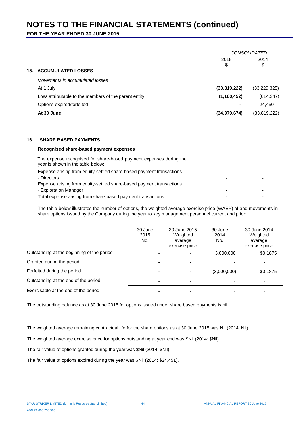**FOR THE YEAR ENDED 30 JUNE 2015**

|     |                                                       |                | <b>CONSOLIDATED</b> |
|-----|-------------------------------------------------------|----------------|---------------------|
| 15. | <b>ACCUMULATED LOSSES</b>                             | 2015<br>\$     | 2014<br>\$          |
|     | Movements in accumulated losses                       |                |                     |
|     | At 1 July                                             | (33,819,222)   | (33, 229, 325)      |
|     | Loss attributable to the members of the parent entity | (1, 160, 452)  | (614, 347)          |
|     | Options expired/forfeited                             |                | 24,450              |
|     | At 30 June                                            | (34, 979, 674) | (33,819,222)        |
|     |                                                       |                |                     |
|     |                                                       |                |                     |
|     |                                                       |                |                     |

# **16. SHARE BASED PAYMENTS**

#### **Recognised share-based payment expenses**

The expense recognised for share-based payment expenses during the year is shown in the table below:

Expense arising from equity-settled share-based payment transactions - Directors **- -**

Expense arising from equity-settled share-based payment transactions

- Exploration Manager **- -**

Total expense arising from share-based payment transactions **- -**

The table below illustrates the number of options, the weighted average exercise price (WAEP) of and movements in share options issued by the Company during the year to key management personnel current and prior:

|                                            | 30 June<br>2015<br>No. | 30 June 2015<br>Weighted<br>average<br>exercise price | 30 June<br>2014<br>No. | 30 June 2014<br>Weighted<br>average<br>exercise price |
|--------------------------------------------|------------------------|-------------------------------------------------------|------------------------|-------------------------------------------------------|
| Outstanding at the beginning of the period |                        |                                                       | 3,000,000              | \$0.1875                                              |
| Granted during the period                  |                        |                                                       |                        |                                                       |
| Forfeited during the period                | ۰                      |                                                       | (3,000,000)            | \$0.1875                                              |
| Outstanding at the end of the period       | $\blacksquare$         |                                                       |                        |                                                       |
| Exercisable at the end of the period       | -                      |                                                       |                        |                                                       |

The outstanding balance as at 30 June 2015 for options issued under share based payments is nil.

The weighted average remaining contractual life for the share options as at 30 June 2015 was Nil (2014: Nil).

The weighted average exercise price for options outstanding at year end was \$Nil (2014: \$Nil).

The fair value of options granted during the year was \$Nil (2014: \$Nil).

The fair value of options expired during the year was \$Nil (2014: \$24,451).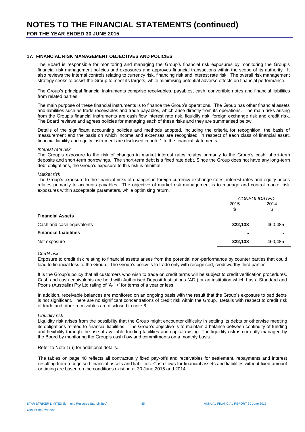#### **17. FINANCIAL RISK MANAGEMENT OBJECTIVES AND POLICIES**

The Board is responsible for monitoring and managing the Group's financial risk exposures by monitoring the Group's financial risk management policies and exposures and approves financial transactions within the scope of its authority. It also reviews the internal controls relating to currency risk, financing risk and interest rate risk. The overall risk management strategy seeks to assist the Group to meet its targets, while minimising potential adverse effects on financial performance.

The Group's principal financial instruments comprise receivables, payables, cash, convertible notes and financial liabilities from related parties.

The main purpose of these financial instruments is to finance the Group's operations. The Group has other financial assets and liabilities such as trade receivables and trade payables, which arise directly from its operations. The main risks arising from the Group's financial instruments are cash flow interest rate risk, liquidity risk, foreign exchange risk and credit risk. The Board reviews and agrees policies for managing each of these risks and they are summarised below.

Details of the significant accounting policies and methods adopted, including the criteria for recognition, the basis of measurement and the basis on which income and expenses are recognised, in respect of each class of financial asset, financial liability and equity instrument are disclosed in note 1 to the financial statements.

#### *Interest rate risk*

The Group's exposure to the risk of changes in market interest rates relates primarily to the Group's cash, short-term deposits and short-term borrowings. The short-term debt is a fixed rate debt. Since the Group does not have any long-term debt obligations, the Group's exposure to this risk is minimal.

#### *Market risk*

The Group's exposure to the financial risks of changes in foreign currency exchange rates, interest rates and equity prices relates primarily to accounts payables. The objective of market risk management is to manage and control market risk exposures within acceptable parameters, while optimising return.

|                              | <b>CONSOLIDATED</b> |            |  |
|------------------------------|---------------------|------------|--|
|                              | 2015<br>\$          | 2014<br>\$ |  |
| <b>Financial Assets</b>      |                     |            |  |
| Cash and cash equivalents    | 322,138             | 460,485    |  |
| <b>Financial Liabilities</b> | $\blacksquare$      |            |  |
| Net exposure                 | 322,138             | 460,485    |  |

#### *Credit risk*

Exposure to credit risk relating to financial assets arises from the potential non-performance by counter parties that could lead to financial loss to the Group. The Group's policy is to trade only with recognised, creditworthy third parties.

It is the Group's policy that all customers who wish to trade on credit terms will be subject to credit verification procedures. Cash and cash equivalents are held with Authorised Deposit Institutions (ADI) or an institution which has a Standard and Poor's (Australia) Pty Ltd rating of 'A-1+' for terms of a year or less.

In addition, receivable balances are monitored on an ongoing basis with the result that the Group's exposure to bad debts is not significant. There are no significant concentrations of credit risk within the Group. Details with respect to credit risk of trade and other receivables are disclosed in note 6.

#### *Liquidity risk*

Liquidity risk arises from the possibility that the Group might encounter difficulty in settling its debts or otherwise meeting its obligations related to financial liabilities. The Group's objective is to maintain a balance between continuity of funding and flexibility through the use of available funding facilities and capital raising. The liquidity risk is currently managed by the Board by monitoring the Group's cash flow and commitments on a monthly basis.

Refer to Note 1(u) for additional details.

The tables on page 48 reflects all contractually fixed pay-offs and receivables for settlement, repayments and interest resulting from recognised financial assets and liabilities. Cash flows for financial assets and liabilities without fixed amount or timing are based on the conditions existing at 30 June 2015 and 2014.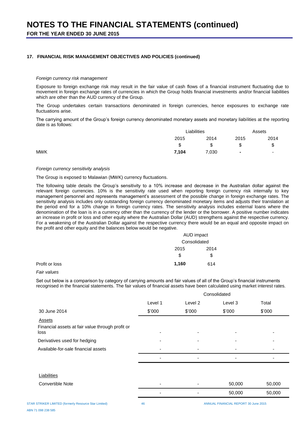#### **17. FINANCIAL RISK MANAGEMENT OBJECTIVES AND POLICIES (continued)**

#### *Foreign currency risk management*

Exposure to foreign exchange risk may result in the fair value of cash flows of a financial instrument fluctuating due to movement in foreign exchange rates of currencies in which the Group holds financial investments and/or financial liabilities which are other than the AUD currency of the Group.

The Group undertakes certain transactions denominated in foreign currencies, hence exposures to exchange rate fluctuations arise.

The carrying amount of the Group's foreign currency denominated monetary assets and monetary liabilities at the reporting date is as follows:

|            | Liabilities |       |                | Assets                   |  |
|------------|-------------|-------|----------------|--------------------------|--|
|            | 2015        | 2014  | 2015           | 2014                     |  |
|            |             | \$    | \$             | \$                       |  |
| <b>MWK</b> | 7,104       | 7,030 | $\blacksquare$ | $\overline{\phantom{a}}$ |  |

#### *Foreign currency sensitivity analysis*

The Group is exposed to Malawian (MWK) currency fluctuations.

The following table details the Group's sensitivity to a 10% increase and decrease in the Australian dollar against the relevant foreign currencies. 10% is the sensitivity rate used when reporting foreign currency risk internally to key management personnel and represents management's assessment of the possible change in foreign exchange rates. The sensitivity analysis includes only outstanding foreign currency denominated monetary items and adjusts their translation at the period end for a 10% change in foreign currency rates. The sensitivity analysis includes external loans where the denomination of the loan is in a currency other than the currency of the lender or the borrower. A positive number indicates an increase in profit or loss and other equity where the Australian Dollar (AUD) strengthens against the respective currency. For a weakening of the Australian Dollar against the respective currency there would be an equal and opposite impact on the profit and other equity and the balances below would be negative.

|                |              | AUD impact |  |  |
|----------------|--------------|------------|--|--|
|                | Consolidated |            |  |  |
|                | 2015         | 2014       |  |  |
|                | \$           | \$         |  |  |
| Profit or loss | 1,160        | 614        |  |  |

#### *Fair values*

ABN 71 098 238 585

Set out below is a comparison by category of carrying amounts and fair values of all of the Group's financial instruments recognised in the financial statements. The fair values of financial assets have been calculated using market interest rates.

|                                                                    | Consolidated |         |                                      |        |
|--------------------------------------------------------------------|--------------|---------|--------------------------------------|--------|
|                                                                    | Level 1      | Level 2 | Level 3                              | Total  |
| 30 June 2014                                                       | \$'000       | \$'000  | \$'000                               | \$'000 |
| Assets<br>Financial assets at fair value through profit or<br>loss |              | ٠       | ۰                                    |        |
| Derivatives used for hedging                                       |              |         |                                      |        |
| Available-for-sale financial assets                                |              |         |                                      |        |
|                                                                    |              |         | ۰                                    |        |
| Liabilities                                                        |              |         |                                      |        |
| <b>Convertible Note</b>                                            |              |         | 50,000                               | 50,000 |
|                                                                    |              |         | 50,000                               | 50,000 |
| <b>STAR STRIKER LIMITED (formerly Resource Star Limited)</b>       | 46           |         | ANNUAL FINANCIAL REPORT 30 June 2015 |        |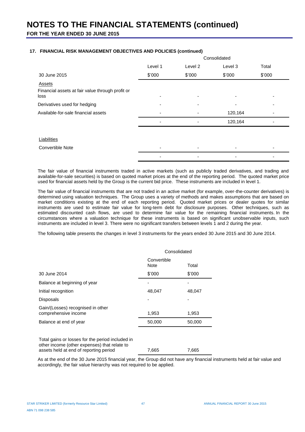# **17. FINANCIAL RISK MANAGEMENT OBJECTIVES AND POLICIES (continued)**

|                                                                           | Consolidated |         |         |        |  |
|---------------------------------------------------------------------------|--------------|---------|---------|--------|--|
|                                                                           | Level 1      | Level 2 | Level 3 | Total  |  |
| 30 June 2015                                                              | \$'000       | \$'000  | \$'000  | \$'000 |  |
| <b>Assets</b><br>Financial assets at fair value through profit or<br>loss |              |         |         |        |  |
| Derivatives used for hedging                                              |              |         |         |        |  |
| Available-for-sale financial assets                                       | -            |         | 120,164 |        |  |
|                                                                           |              |         | 120,164 |        |  |
| Liabilities                                                               |              |         |         |        |  |
| <b>Convertible Note</b>                                                   | ٠            |         |         |        |  |
|                                                                           |              |         |         |        |  |

The fair value of financial instruments traded in active markets (such as publicly traded derivatives, and trading and available-for-sale securities) is based on quoted market prices at the end of the reporting period. The quoted market price used for financial assets held by the Group is the current bid price. These instruments are included in level 1.

The fair value of financial instruments that are not traded in an active market (for example, over-the-counter derivatives) is determined using valuation techniques. The Group uses a variety of methods and makes assumptions that are based on market conditions existing at the end of each reporting period. Quoted market prices or dealer quotes for similar instruments are used to estimate fair value for long-term debt for disclosure purposes. Other techniques, such as estimated discounted cash flows, are used to determine fair value for the remaining financial instruments. In the circumstances where a valuation technique for these instruments is based on significant unobservable inputs, such instruments are included in level 3. There were no significant transfers between levels 1 and 2 during the year.

The following table presents the changes in level 3 instruments for the years ended 30 June 2015 and 30 June 2014.

|                                                           | Consolidated               |        |  |  |
|-----------------------------------------------------------|----------------------------|--------|--|--|
|                                                           | Convertible<br><b>Note</b> | Total  |  |  |
| 30 June 2014                                              | \$'000                     | \$'000 |  |  |
| Balance at beginning of year                              |                            |        |  |  |
| Initial recognition                                       | 48,047                     | 48,047 |  |  |
| <b>Disposals</b>                                          |                            |        |  |  |
| Gain/(Losses) recognised in other<br>comprehensive income | 1,953                      | 1,953  |  |  |
| Balance at end of year                                    | 50,000                     | 50,000 |  |  |
|                                                           |                            |        |  |  |

Total gains or losses for the period included in other income (other expenses) that relate to assets held at end of reporting period 7,665 7,665

As at the end of the 30 June 2015 financial year, the Group did not have any financial instruments held at fair value and accordingly, the fair value hierarchy was not required to be applied.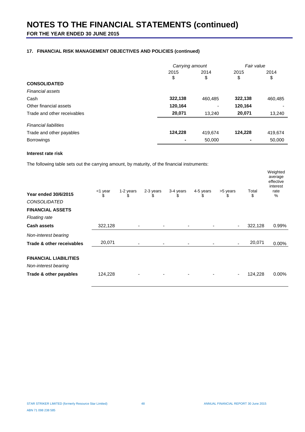# **117. FINANCIAL RISK MANAGEMENT OBJECTIVES AND POLICIES (continued)**

|                              | Carrying amount |         | Fair value |         |  |
|------------------------------|-----------------|---------|------------|---------|--|
|                              | 2015<br>2014    |         | 2015       | 2014    |  |
|                              | \$              | \$      | \$         | \$      |  |
| <b>CONSOLIDATED</b>          |                 |         |            |         |  |
| <b>Financial assets</b>      |                 |         |            |         |  |
| Cash                         | 322,138         | 460,485 | 322,138    | 460,485 |  |
| Other financial assets       | 120,164         |         | 120,164    |         |  |
| Trade and other receivables  | 20,071          | 13.240  | 20,071     | 13,240  |  |
| <b>Financial liabilities</b> |                 |         |            |         |  |
| Trade and other payables     | 124,228         | 419,674 | 124,228    | 419,674 |  |
| <b>Borrowings</b>            |                 | 50,000  |            | 50,000  |  |

# **Interest rate risk**

The following table sets out the carrying amount, by maturity, of the financial instruments:

| <b>Year ended 30/6/2015</b><br><b>CONSOLIDATED</b><br><b>FINANCIAL ASSETS</b><br><b>Floating rate</b> | <1 year<br>\$ | 1-2 years<br>\$ | 2-3 years<br>\$          | 3-4 years<br>\$          | 4-5 years<br>\$ | >5 years<br>\$           | Total<br>\$ | Weighted<br>average<br>effective<br>interest<br>rate<br>$\%$ |
|-------------------------------------------------------------------------------------------------------|---------------|-----------------|--------------------------|--------------------------|-----------------|--------------------------|-------------|--------------------------------------------------------------|
| <b>Cash assets</b>                                                                                    | 322,128       |                 |                          |                          |                 | $\overline{\phantom{a}}$ | 322,128     | 0.99%                                                        |
| Non-interest bearing                                                                                  |               |                 |                          |                          |                 |                          |             |                                                              |
| Trade & other receivables                                                                             | 20,071        | $\blacksquare$  | $\overline{\phantom{0}}$ | $\overline{\phantom{0}}$ |                 | $\sim$                   | 20,071      | 0.00%                                                        |
| <b>FINANCIAL LIABILITIES</b><br>Non-interest bearing<br>Trade & other payables                        | 124,228       |                 |                          | ۰                        |                 | ٠                        | 124,228     | 0.00%                                                        |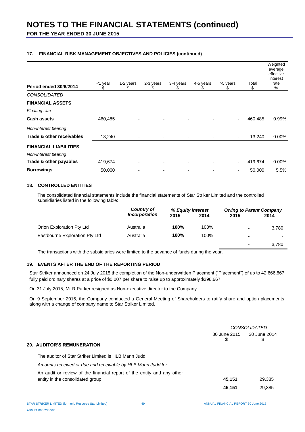**FOR THE YEAR ENDED 30 JUNE 2015**

# **17. FINANCIAL RISK MANAGEMENT OBJECTIVES AND POLICIES (continued)**

| Period ended 30/6/2014       | <1 year<br>\$ | 1-2 years<br>Ъ | 2-3 years | 3-4 years | 4-5 years<br>Ъ | >5 years<br>Ъ            | Total<br>\$ | Weighted<br>average<br>effective<br>interest<br>rate<br>% |
|------------------------------|---------------|----------------|-----------|-----------|----------------|--------------------------|-------------|-----------------------------------------------------------|
| <b>CONSOLIDATED</b>          |               |                |           |           |                |                          |             |                                                           |
| <b>FINANCIAL ASSETS</b>      |               |                |           |           |                |                          |             |                                                           |
| <b>Floating rate</b>         |               |                |           |           |                |                          |             |                                                           |
| <b>Cash assets</b>           | 460,485       |                |           |           |                | $\overline{\phantom{a}}$ | 460,485     | 0.99%                                                     |
| Non-interest bearing         |               |                |           |           |                |                          |             |                                                           |
| Trade & other receivables    | 13,240        |                |           |           |                | $\overline{\phantom{a}}$ | 13,240      | $0.00\%$                                                  |
| <b>FINANCIAL LIABILITIES</b> |               |                |           |           |                |                          |             |                                                           |
| Non-interest bearing         |               |                |           |           |                |                          |             |                                                           |
| Trade & other payables       | 419,674       |                |           |           |                | $\overline{\phantom{a}}$ | 419,674     | $0.00\%$                                                  |
| <b>Borrowings</b>            | 50,000        |                |           |           |                | ٠                        | 50,000      | 5.5%                                                      |

# **18. CONTROLLED ENTITIES**

The consolidated financial statements include the financial statements of Star Striker Limited and the controlled subsidiaries listed in the following table:

|                                                             | Country of<br><i><b>Incorporation</b></i> | % Equity interest<br>2015 | 2014         | <b>Owing to Parent Company</b><br>2015 | 2014                              |
|-------------------------------------------------------------|-------------------------------------------|---------------------------|--------------|----------------------------------------|-----------------------------------|
| Orion Exploration Pty Ltd<br>Eastbourne Exploration Pty Ltd | Australia<br>Australia                    | 100%<br>100%              | 100%<br>100% | $\blacksquare$<br>$\blacksquare$       | 3,780<br>$\overline{\phantom{0}}$ |
|                                                             |                                           |                           |              | ۰                                      | 3,780                             |

The transactions with the subsidiaries were limited to the advance of funds during the year.

### **19. EVENTS AFTER THE END OF THE REPORTING PERIOD**

Star Striker announced on 24 July 2015 the completion of the Non-underwritten Placement ("Placement") of up to 42,666,667 fully paid ordinary shares at a price of \$0.007 per share to raise up to approximately \$298,667.

On 31 July 2015, Mr R Parker resigned as Non-executive director to the Company.

On 9 September 2015, the Company conducted a General Meeting of Shareholders to ratify share and option placements along with a change of company name to Star Striker Limited.

|                                                                                                            |    | <i>CONSOLIDATED</i>                  |                   |
|------------------------------------------------------------------------------------------------------------|----|--------------------------------------|-------------------|
| <b>20. AUDITOR'S REMUNERATION</b>                                                                          |    | 30 June 2015<br>\$                   | 30 June 2014<br>S |
| The auditor of Star Striker Limited is HLB Mann Judd.                                                      |    |                                      |                   |
| Amounts received or due and receivable by HLB Mann Judd for:                                               |    |                                      |                   |
| An audit or review of the financial report of the entity and any other<br>entity in the consolidated group |    | 45.151                               | 29,385            |
|                                                                                                            |    | 45.151                               | 29,385            |
| <b>STAR STRIKER LIMITED (formerly Resource Star Limited)</b>                                               | 49 | ANNUAL FINANCIAL REPORT 30 June 2015 |                   |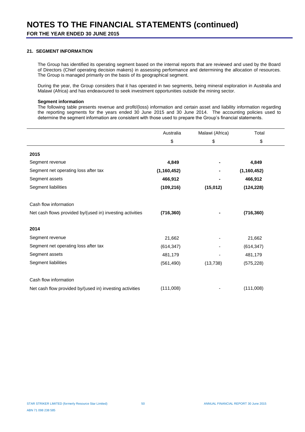## **21. SEGMENT INFORMATION**

The Group has identified its operating segment based on the internal reports that are reviewed and used by the Board of Directors (Chief operating decision makers) in assessing performance and determining the allocation of resources. The Group is managed primarily on the basis of its geographical segment.

During the year, the Group considers that it has operated in two segments, being mineral exploration in Australia and Malawi (Africa) and has endeavoured to seek investment opportunities outside the mining sector.

#### **Segment information**

The following table presents revenue and profit/(loss) information and certain asset and liability information regarding the reporting segments for the years ended 30 June 2015 and 30 June 2014. The accounting policies used to determine the segment information are consistent with those used to prepare the Group's financial statements.

|                                                           | Australia     | Malawi (Africa) | Total         |  |
|-----------------------------------------------------------|---------------|-----------------|---------------|--|
|                                                           | \$            | \$              | \$            |  |
| 2015                                                      |               |                 |               |  |
| Segment revenue                                           | 4,849         |                 | 4,849         |  |
| Segment net operating loss after tax                      | (1, 160, 452) |                 | (1, 160, 452) |  |
| Segment assets                                            | 466,912       |                 | 466,912       |  |
| Segment liabilities                                       | (109, 216)    | (15,012)        | (124, 228)    |  |
| Cash flow information                                     |               |                 |               |  |
| Net cash flows provided by/(used in) investing activities | (716, 360)    |                 | (716, 360)    |  |
| 2014                                                      |               |                 |               |  |
| Segment revenue                                           | 21,662        |                 | 21,662        |  |
| Segment net operating loss after tax                      | (614, 347)    |                 | (614, 347)    |  |
| Segment assets                                            | 481,179       |                 | 481,179       |  |
| Segment liabilities                                       | (561, 490)    | (13, 738)       | (575, 228)    |  |
| Cash flow information                                     |               |                 |               |  |
| Net cash flow provided by/(used in) investing activities  | (111,008)     |                 | (111,008)     |  |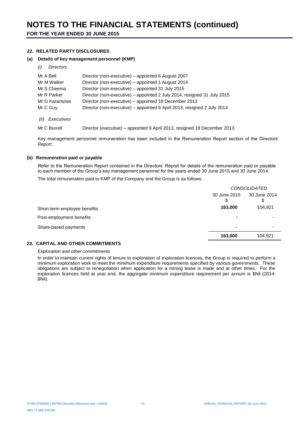# **22. RELATED PARTY DISCLOSURES**

## **(a) Details of key management personnel (KMP)**

| <b>Directors</b><br>(i) |                                                                         |
|-------------------------|-------------------------------------------------------------------------|
| Mr A Bell               | Director (non-executive) – appointed 6 August 2007                      |
| Mr M Walker             | Director (non-executive) - appointed 1 August 2014                      |
| Mr S Cheema             | Director (non-executive) - appointed 31 July 2015                       |
| Mr R Parker             | Director (non-executive) – appointed 2 July 2014, resigned 31 July 2015 |
| Mr G Karantzias         | Director (non-executive) – appointed 18 December 2013                   |
| Mr C Guy                | Director (non-executive) - appointed 9 April 2013, resigned 2 July 2014 |
| Executives              |                                                                         |

Mr C Burrell Director (executive) – appointed 9 April 2013, resigned 18 December 2013

Key management personnel remuneration has been included in the Remuneration Report section of the Directors' Report.

# **(b) Remuneration paid or payable**

Refer to the Remuneration Report contained in the Directors' Report for details of the remuneration paid or payable to each member of the Group's key management personnel for the years ended 30 June 2015 and 30 June 2014.

The total remuneration paid to KMP of the Company and the Group is as follows:

|                              | <b>CONSOLIDATED</b> |                    |
|------------------------------|---------------------|--------------------|
|                              | 30 June 2015<br>\$  | 30 June 2014<br>\$ |
| Short-term employee benefits | 163,000             | 104,921            |
| Post-employment benefits     |                     |                    |
| Share-based payments         | $\blacksquare$      |                    |
|                              | 163,000             | 104,921            |

# **23. CAPITAL AND OTHER COMMITMENTS**

# *Exploration and other commitments*

In order to maintain current rights of tenure to exploration of exploration licences, the Group is required to perform a minimum exploration work to meet the minimum expenditure requirements specified by various governments. These obligations are subject to renegotiation when application for a mining lease is made and at other times. For the exploration licences held at year end, the aggregate minimum expenditure requirement per annum is \$Nil (2014: \$Nil).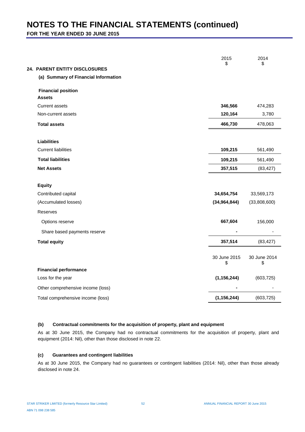**FOR THE YEAR ENDED 30 JUNE 2015**

| <b>24. PARENT ENTITY DISCLOSURES</b><br>(a) Summary of Financial Information | 2015<br>\$         | 2014<br>\$         |
|------------------------------------------------------------------------------|--------------------|--------------------|
| <b>Financial position</b>                                                    |                    |                    |
| <b>Assets</b>                                                                |                    |                    |
| <b>Current assets</b>                                                        | 346,566            | 474,283            |
| Non-current assets                                                           | 120,164            | 3,780              |
| <b>Total assets</b>                                                          | 466,730            | 478,063            |
| <b>Liabilities</b>                                                           |                    |                    |
| <b>Current liabilities</b>                                                   | 109,215            | 561,490            |
| <b>Total liabilities</b>                                                     | 109,215            | 561,490            |
| <b>Net Assets</b>                                                            | 357,515            | (83, 427)          |
| <b>Equity</b>                                                                |                    |                    |
| Contributed capital                                                          | 34,654,754         | 33,569,173         |
| (Accumulated losses)                                                         | (34, 964, 844)     | (33,808,600)       |
| Reserves                                                                     |                    |                    |
| Options reserve                                                              | 667,604            | 156,000            |
| Share based payments reserve                                                 |                    |                    |
| <b>Total equity</b>                                                          | 357,514            | (83, 427)          |
|                                                                              | 30 June 2015<br>\$ | 30 June 2014<br>\$ |
| <b>Financial performance</b>                                                 |                    |                    |
| Loss for the year                                                            | (1, 156, 244)      | (603, 725)         |
| Other comprehensive income (loss)                                            |                    |                    |
| Total comprehensive income (loss)                                            | (1, 156, 244)      | (603, 725)         |
|                                                                              |                    |                    |

### **(b) Contractual commitments for the acquisition of property, plant and equipment**

As at 30 June 2015, the Company had no contractual commitments for the acquisition of property, plant and equipment (2014: Nil), other than those disclosed in note 22.

# **(c) Guarantees and contingent liabilities**

As at 30 June 2015, the Company had no guarantees or contingent liabilities (2014: Nil), other than those already disclosed in note 24.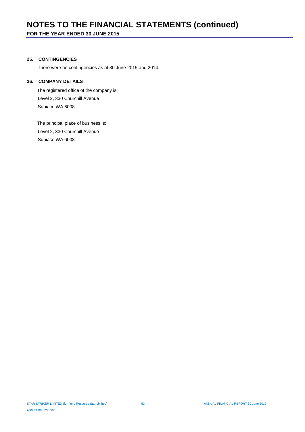# **25. CONTINGENCIES**

There were no contingencies as at 30 June 2015 and 2014.

# **26. COMPANY DETAILS**

 The registered office of the company is: Level 2, 330 Churchill Avenue Subiaco WA 6008

 The principal place of business is: Level 2, 330 Churchill Avenue Subiaco WA 6008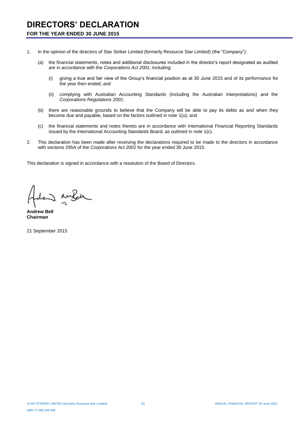# **DIRECTORS' DECLARATION**

# **FOR THE YEAR ENDED 30 JUNE 2015**

- 1. In the opinion of the directors of Star Striker Limited (formerly Resource Star Limited) (the "Company"):
	- (a) the financial statements, notes and additional disclosures included in the director's report designated as audited are in accordance with the *Corporations Act 2001*, including:
		- (i) giving a true and fair view of the Group's financial position as at 30 June 2015 and of its performance for the year then ended; and
		- (ii) complying with Australian Accounting Standards (including the Australian Interpretations) and the *Corporations Regulations 2001*;
	- (b) there are reasonable grounds to believe that the Company will be able to pay its debts as and when they become due and payable, based on the factors outlined in note 1(u); and
	- (c) the financial statements and notes thereto are in accordance with International Financial Reporting Standards issued by the International Accounting Standards Board, as outlined in note 1(c).
- 2. This declaration has been made after receiving the declarations required to be made to the directors in accordance with sections 295A of the *Corporations Act 2001* for the year ended 30 June 2015.

This declaration is signed in accordance with a resolution of the Board of Directors.

I sunten

**Andrew Bell Chairman**

21 September 2015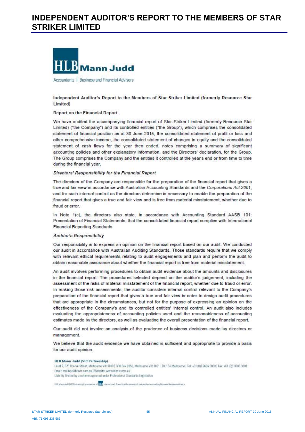# **INDEPENDENT AUDITOR'S REPORT TO THE MEMBERS OF STAR STRIKER LIMITED**



Accountants | Business and Financial Advisers

#### Independent Auditor's Report to the Members of Star Striker Limited (formerly Resource Star Limited)

#### **Report on the Financial Report**

We have audited the accompanying financial report of Star Striker Limited (formerly Resource Star Limited) ("the Company") and its controlled entities ("the Group"), which comprises the consolidated statement of financial position as at 30 June 2015, the consolidated statement of profit or loss and other comprehensive income, the consolidated statement of changes in equity and the consolidated statement of cash flows for the year then ended, notes comprising a summary of significant accounting policies and other explanatory information, and the Directors' declaration, for the Group. The Group comprises the Company and the entities it controlled at the year's end or from time to time during the financial year.

#### Directors' Responsibility for the Financial Report

The directors of the Company are responsible for the preparation of the financial report that gives a true and fair view in accordance with Australian Accounting Standards and the Corporations Act 2001, and for such internal control as the directors determine is necessary to enable the preparation of the financial report that gives a true and fair view and is free from material misstatement, whether due to fraud or error.

In Note 1(c), the directors also state, in accordance with Accounting Standard AASB 101: Presentation of Financial Statements, that the consolidated financial report complies with International Financial Reporting Standards.

#### **Auditor's Responsibility**

Our responsibility is to express an opinion on the financial report based on our audit. We conducted our audit in accordance with Australian Auditing Standards. Those standards require that we comply with relevant ethical requirements relating to audit engagements and plan and perform the audit to obtain reasonable assurance about whether the financial report is free from material misstatement.

An audit involves performing procedures to obtain audit evidence about the amounts and disclosures in the financial report. The procedures selected depend on the auditor's judgement, including the assessment of the risks of material misstatement of the financial report, whether due to fraud or error. In making those risk assessments, the auditor considers internal control relevant to the Company's preparation of the financial report that gives a true and fair view in order to design audit procedures that are appropriate in the circumstances, but not for the purpose of expressing an opinion on the effectiveness of the Company's and its controlled entities' internal control. An audit also includes evaluating the appropriateness of accounting policies used and the reasonableness of accounting estimates made by the directors, as well as evaluating the overall presentation of the financial report.

Our audit did not involve an analysis of the prudence of business decisions made by directors or management.

We believe that the audit evidence we have obtained is sufficient and appropriate to provide a basis for our audit opinion.

#### **HLB Mann Judd (VIC Partnership)**

Level 9, 575 Bourke Street, Melbourne VIC 3000 | GPO Box 2850, Melbourne VIC 3001 | DX 154 Melbourne | Tel: +61 (02 9606 3889 | Fax: +61 (0) 9066 3880 Email: mailbox@hlbyic.com.bu | Website: www.hlbyic.com.au Liability limited by a scheme approved under Professional Standards Legislation

HD Mann Audit (SVC Fastranckup) as reasoner of HLD International. A period wide retwork of independent accounting films and business whiten a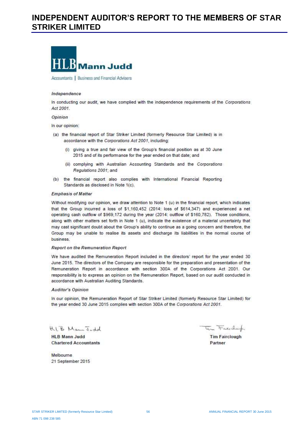# **INDEPENDENT AUDITOR'S REPORT TO THE MEMBERS OF STAR STRIKER LIMITED**



Accountants | Business and Financial Advisers

#### Independence

In conducting our audit, we have complied with the independence requirements of the Corporations Act 2001.

#### Opinion

In our opinion:

- (a) the financial report of Star Striker Limited (formerly Resource Star Limited) is in accordance with the Corporations Act 2001, including:
	- (i) giving a true and fair view of the Group's financial position as at 30 June 2015 and of its performance for the year ended on that date; and
	- (ii) complying with Australian Accounting Standards and the Corporations Regulations 2001: and
- (b) the financial report also complies with International Financial Reporting Standards as disclosed in Note 1(c).

#### **Emphasis of Matter**

Without modifying our opinion, we draw attention to Note 1 (u) in the financial report, which indicates that the Group incurred a loss of \$1,160,452 (2014: loss of \$614,347) and experienced a net operating cash outflow of \$969,172 during the year (2014: outflow of \$160,782). Those conditions, along with other matters set forth in Note 1 (u), indicate the existence of a material uncertainty that may cast significant doubt about the Group's ability to continue as a going concern and therefore, the Group may be unable to realise its assets and discharge its liabilities in the normal course of business.

#### Report on the Remuneration Report

We have audited the Remuneration Report included in the directors' report for the year ended 30 June 2015. The directors of the Company are responsible for the preparation and presentation of the Remuneration Report in accordance with section 300A of the Corporations Act 2001. Our responsibility is to express an opinion on the Remuneration Report, based on our audit conducted in accordance with Australian Auditing Standards.

#### **Auditor's Opinion**

In our opinion, the Remuneration Report of Star Striker Limited (formerly Resource Star Limited) for the year ended 30 June 2015 complies with section 300A of the Corporations Act 2001.

KIB Mann Judd

**HLB Mann Judd Chartered Accountants**  the Facility

**Tim Fairclough** Partner

**Melbourne** 21 September 2015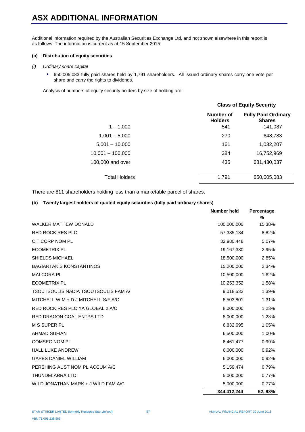# **ASX ADDITIONAL INFORMATION**

Additional information required by the Australian Securities Exchange Ltd, and not shown elsewhere in this report is as follows. The information is current as at 15 September 2015.

### **(a) Distribution of equity securities**

#### *(i) Ordinary share capital*

 650,005,083 fully paid shares held by 1,791 shareholders. All issued ordinary shares carry one vote per share and carry the rights to dividends.

Analysis of numbers of equity security holders by size of holding are:

|                      | <b>Class of Equity Security</b>    |                                                        |  |
|----------------------|------------------------------------|--------------------------------------------------------|--|
| $1 - 1,000$          | Number of<br><b>Holders</b><br>541 | <b>Fully Paid Ordinary</b><br><b>Shares</b><br>141,087 |  |
| $1,001 - 5,000$      | 270                                | 648,783                                                |  |
| $5,001 - 10,000$     | 161                                | 1,032,207                                              |  |
| $10,001 - 100,000$   | 384                                | 16,752,969                                             |  |
| 100,000 and over     | 435                                | 631,430,037                                            |  |
| <b>Total Holders</b> | 1,791                              | 650,005,083                                            |  |

There are 811 shareholders holding less than a marketable parcel of shares.

# **(b) Twenty largest holders of quoted equity securities (fully paid ordinary shares)**

|                                             | <b>Number held</b> | Percentage<br>% |
|---------------------------------------------|--------------------|-----------------|
| <b>WALKER MATHEW DONALD</b>                 | 100,000,000        | 15.38%          |
| RED ROCK RES PLC                            | 57,335,134         | 8.82%           |
| <b>CITICORP NOM PL</b>                      | 32,980,448         | 5.07%           |
| <b>ECOMETRIX PL</b>                         | 19,167,330         | 2.95%           |
| <b>SHIELDS MICHAEL</b>                      | 18,500,000         | 2.85%           |
| <b>BAGIARTAKIS KONSTANTINOS</b>             | 15,200,000         | 2.34%           |
| <b>MALCORA PL</b>                           | 10,500,000         | 1.62%           |
| <b>ECOMETRIX PL</b>                         | 10,253,352         | 1.58%           |
| <b>TSOUTSOULIS NADIA TSOUTSOULIS FAM A/</b> | 9,018,533          | 1.39%           |
| MITCHELL W M + D J MITCHELL S/F A/C         | 8,503,801          | 1.31%           |
| RED ROCK RES PLC YA GLOBAL 2 A/C            | 8,000,000          | 1.23%           |
| <b>RED DRAGON COAL ENTPS LTD</b>            | 8,000,000          | 1.23%           |
| <b>M S SUPER PL</b>                         | 6,832,695          | 1.05%           |
| <b>AHMAD SUFIAN</b>                         | 6,500,000          | 1.00%           |
| <b>COMSEC NOM PL</b>                        | 6,461,477          | 0.99%           |
| <b>HALL LUKE ANDREW</b>                     | 6,000,000          | 0.92%           |
| <b>GAPES DANIEL WILLIAM</b>                 | 6,000,000          | 0.92%           |
| PERSHING AUST NOM PL ACCUM A/C              | 5,159,474          | 0.79%           |
| <b>THUNDELARRA LTD</b>                      | 5,000,000          | 0.77%           |
| WILD JONATHAN MARK + J WILD FAM A/C         | 5,000,000          | 0.77%           |
|                                             | 344.412.244        | 5298%           |